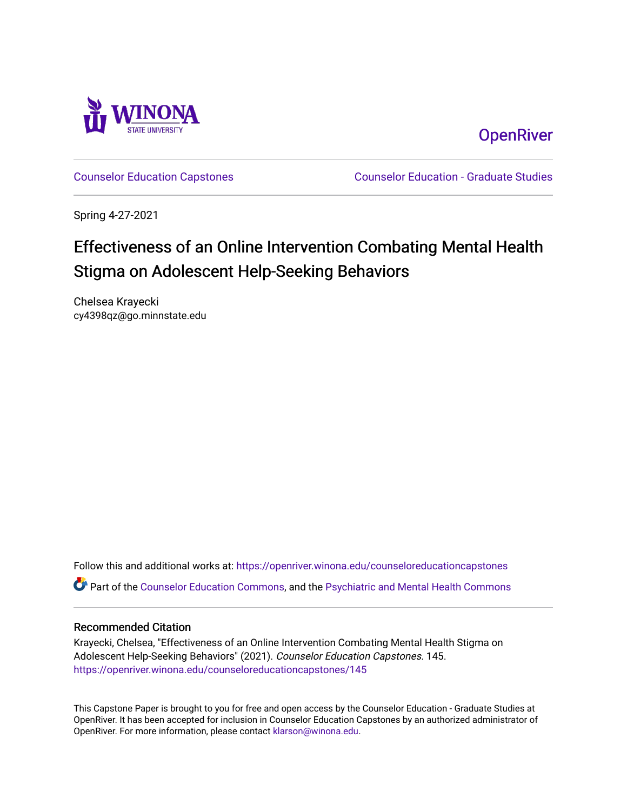

**OpenRiver** 

[Counselor Education Capstones](https://openriver.winona.edu/counseloreducationcapstones) [Counselor Education - Graduate Studies](https://openriver.winona.edu/counseloreducation) 

Spring 4-27-2021

# Effectiveness of an Online Intervention Combating Mental Health Stigma on Adolescent Help-Seeking Behaviors

Chelsea Krayecki cy4398qz@go.minnstate.edu

Follow this and additional works at: [https://openriver.winona.edu/counseloreducationcapstones](https://openriver.winona.edu/counseloreducationcapstones?utm_source=openriver.winona.edu%2Fcounseloreducationcapstones%2F145&utm_medium=PDF&utm_campaign=PDFCoverPages) Part of the [Counselor Education Commons,](http://network.bepress.com/hgg/discipline/1278?utm_source=openriver.winona.edu%2Fcounseloreducationcapstones%2F145&utm_medium=PDF&utm_campaign=PDFCoverPages) and the [Psychiatric and Mental Health Commons](http://network.bepress.com/hgg/discipline/711?utm_source=openriver.winona.edu%2Fcounseloreducationcapstones%2F145&utm_medium=PDF&utm_campaign=PDFCoverPages)

## Recommended Citation

Krayecki, Chelsea, "Effectiveness of an Online Intervention Combating Mental Health Stigma on Adolescent Help-Seeking Behaviors" (2021). Counselor Education Capstones. 145. [https://openriver.winona.edu/counseloreducationcapstones/145](https://openriver.winona.edu/counseloreducationcapstones/145?utm_source=openriver.winona.edu%2Fcounseloreducationcapstones%2F145&utm_medium=PDF&utm_campaign=PDFCoverPages)

This Capstone Paper is brought to you for free and open access by the Counselor Education - Graduate Studies at OpenRiver. It has been accepted for inclusion in Counselor Education Capstones by an authorized administrator of OpenRiver. For more information, please contact [klarson@winona.edu](mailto:klarson@winona.edu).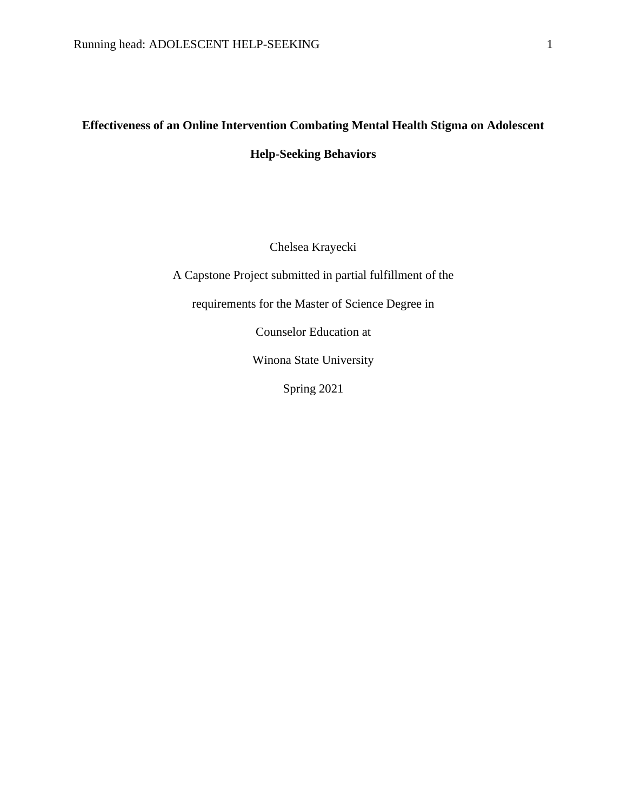# **Effectiveness of an Online Intervention Combating Mental Health Stigma on Adolescent Help-Seeking Behaviors**

Chelsea Krayecki

A Capstone Project submitted in partial fulfillment of the

requirements for the Master of Science Degree in

Counselor Education at

Winona State University

Spring 2021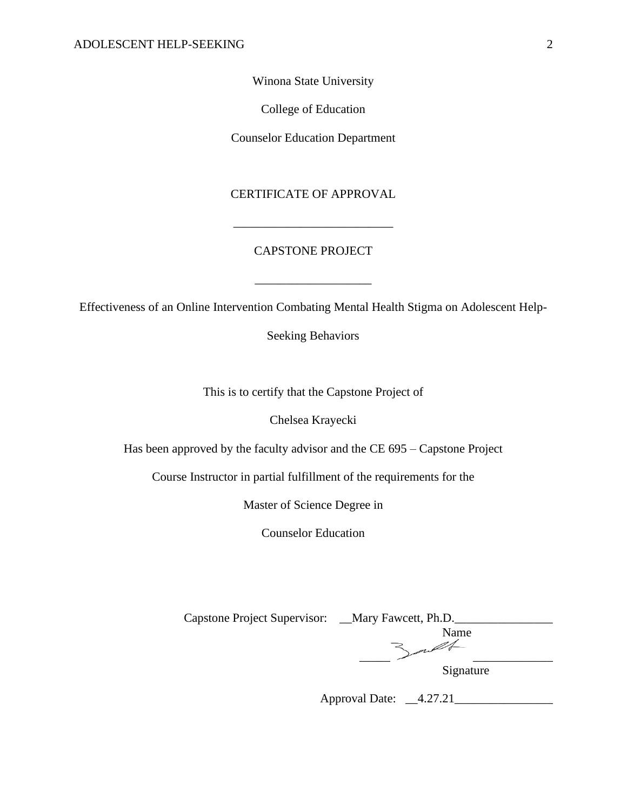Winona State University

College of Education

Counselor Education Department

# CERTIFICATE OF APPROVAL

# CAPSTONE PROJECT

\_\_\_\_\_\_\_\_\_\_\_\_\_\_\_\_\_\_\_

\_\_\_\_\_\_\_\_\_\_\_\_\_\_\_\_\_\_\_\_\_\_\_\_\_\_

Effectiveness of an Online Intervention Combating Mental Health Stigma on Adolescent Help-

Seeking Behaviors

This is to certify that the Capstone Project of

Chelsea Krayecki

Has been approved by the faculty advisor and the CE 695 – Capstone Project

Course Instructor in partial fulfillment of the requirements for the

Master of Science Degree in

Counselor Education

| Capstone Project Supervisor: __Mary Fawcett, Ph.D. |           |
|----------------------------------------------------|-----------|
|                                                    | Name      |
|                                                    |           |
|                                                    | Signature |

Approval Date: \_\_4.27.21\_\_\_\_\_\_\_\_\_\_\_\_\_\_\_\_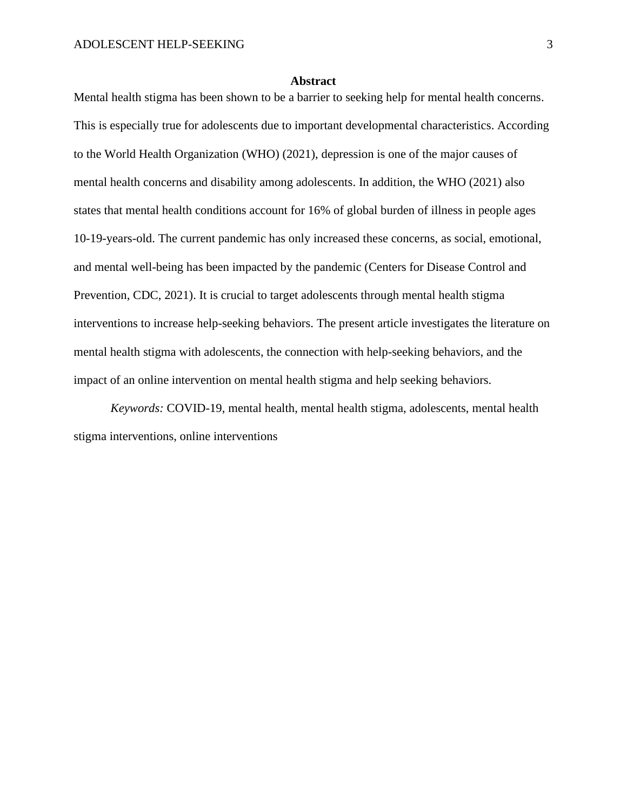#### **Abstract**

Mental health stigma has been shown to be a barrier to seeking help for mental health concerns. This is especially true for adolescents due to important developmental characteristics. According to the World Health Organization (WHO) (2021), depression is one of the major causes of mental health concerns and disability among adolescents. In addition, the WHO (2021) also states that mental health conditions account for 16% of global burden of illness in people ages 10-19-years-old. The current pandemic has only increased these concerns, as social, emotional, and mental well-being has been impacted by the pandemic (Centers for Disease Control and Prevention, CDC, 2021). It is crucial to target adolescents through mental health stigma interventions to increase help-seeking behaviors. The present article investigates the literature on mental health stigma with adolescents, the connection with help-seeking behaviors, and the impact of an online intervention on mental health stigma and help seeking behaviors.

*Keywords:* COVID-19, mental health, mental health stigma, adolescents, mental health stigma interventions, online interventions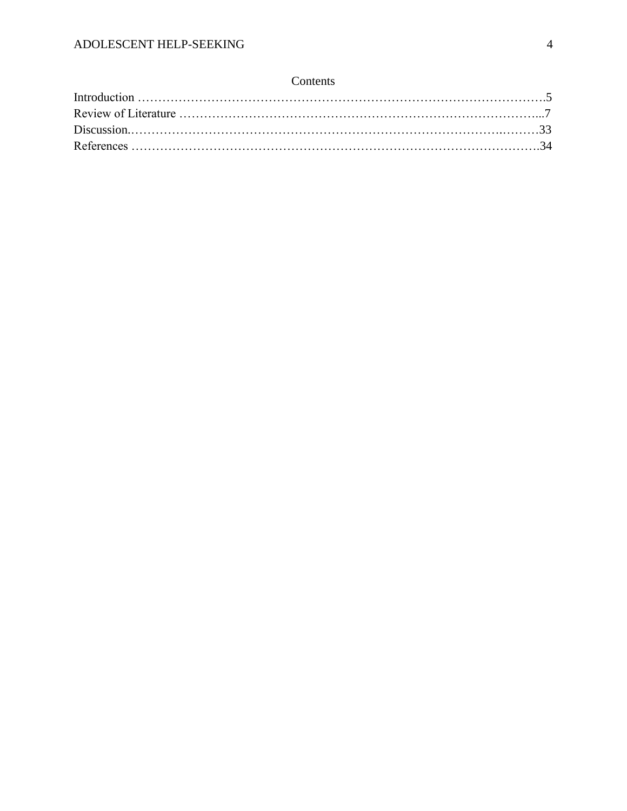# Contents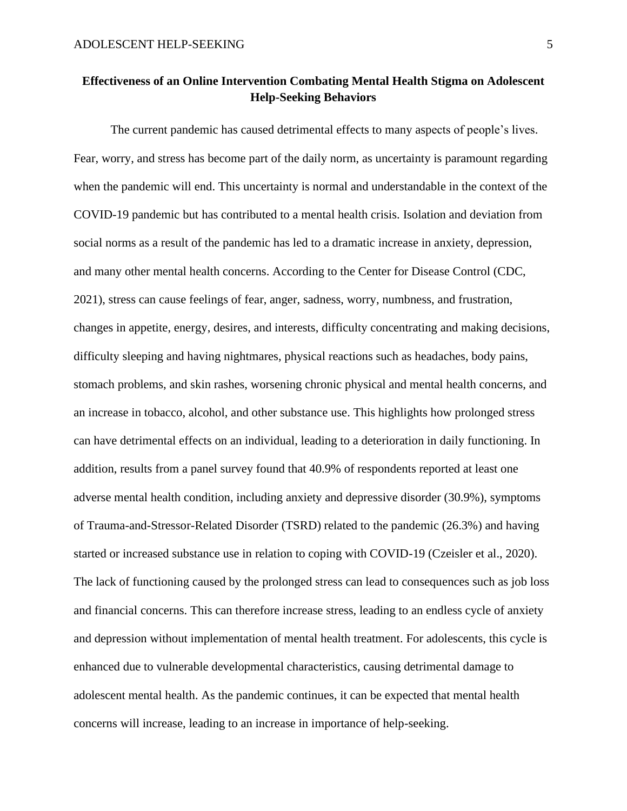# **Effectiveness of an Online Intervention Combating Mental Health Stigma on Adolescent Help-Seeking Behaviors**

The current pandemic has caused detrimental effects to many aspects of people's lives. Fear, worry, and stress has become part of the daily norm, as uncertainty is paramount regarding when the pandemic will end. This uncertainty is normal and understandable in the context of the COVID-19 pandemic but has contributed to a mental health crisis. Isolation and deviation from social norms as a result of the pandemic has led to a dramatic increase in anxiety, depression, and many other mental health concerns. According to the Center for Disease Control (CDC, 2021), stress can cause feelings of fear, anger, sadness, worry, numbness, and frustration, changes in appetite, energy, desires, and interests, difficulty concentrating and making decisions, difficulty sleeping and having nightmares, physical reactions such as headaches, body pains, stomach problems, and skin rashes, worsening chronic physical and mental health concerns, and an increase in tobacco, alcohol, and other substance use. This highlights how prolonged stress can have detrimental effects on an individual, leading to a deterioration in daily functioning. In addition, results from a panel survey found that 40.9% of respondents reported at least one adverse mental health condition, including anxiety and depressive disorder (30.9%), symptoms of Trauma-and-Stressor-Related Disorder (TSRD) related to the pandemic (26.3%) and having started or increased substance use in relation to coping with COVID-19 (Czeisler et al., 2020). The lack of functioning caused by the prolonged stress can lead to consequences such as job loss and financial concerns. This can therefore increase stress, leading to an endless cycle of anxiety and depression without implementation of mental health treatment. For adolescents, this cycle is enhanced due to vulnerable developmental characteristics, causing detrimental damage to adolescent mental health. As the pandemic continues, it can be expected that mental health concerns will increase, leading to an increase in importance of help-seeking.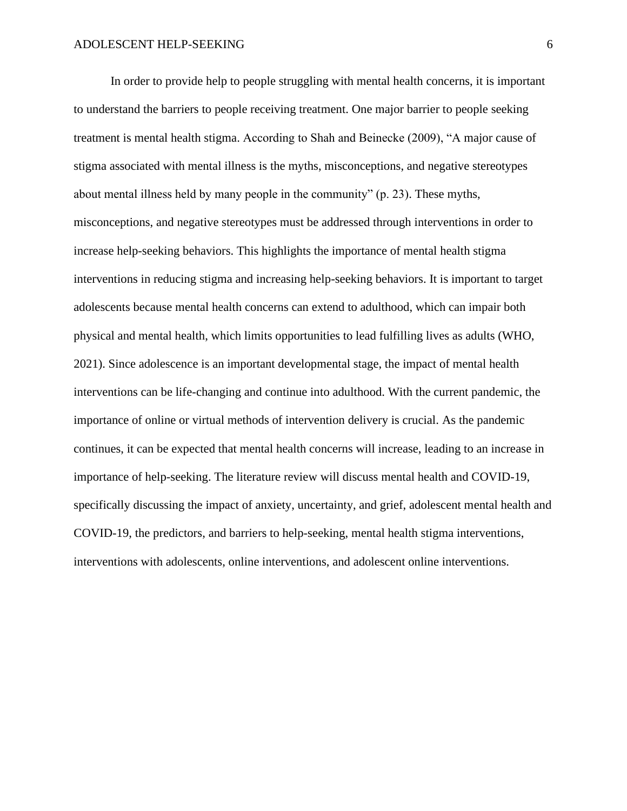In order to provide help to people struggling with mental health concerns, it is important to understand the barriers to people receiving treatment. One major barrier to people seeking treatment is mental health stigma. According to Shah and Beinecke (2009), "A major cause of stigma associated with mental illness is the myths, misconceptions, and negative stereotypes about mental illness held by many people in the community" (p. 23). These myths, misconceptions, and negative stereotypes must be addressed through interventions in order to increase help-seeking behaviors. This highlights the importance of mental health stigma interventions in reducing stigma and increasing help-seeking behaviors. It is important to target adolescents because mental health concerns can extend to adulthood, which can impair both physical and mental health, which limits opportunities to lead fulfilling lives as adults (WHO, 2021). Since adolescence is an important developmental stage, the impact of mental health interventions can be life-changing and continue into adulthood. With the current pandemic, the importance of online or virtual methods of intervention delivery is crucial. As the pandemic continues, it can be expected that mental health concerns will increase, leading to an increase in importance of help-seeking. The literature review will discuss mental health and COVID-19, specifically discussing the impact of anxiety, uncertainty, and grief, adolescent mental health and COVID-19, the predictors, and barriers to help-seeking, mental health stigma interventions, interventions with adolescents, online interventions, and adolescent online interventions.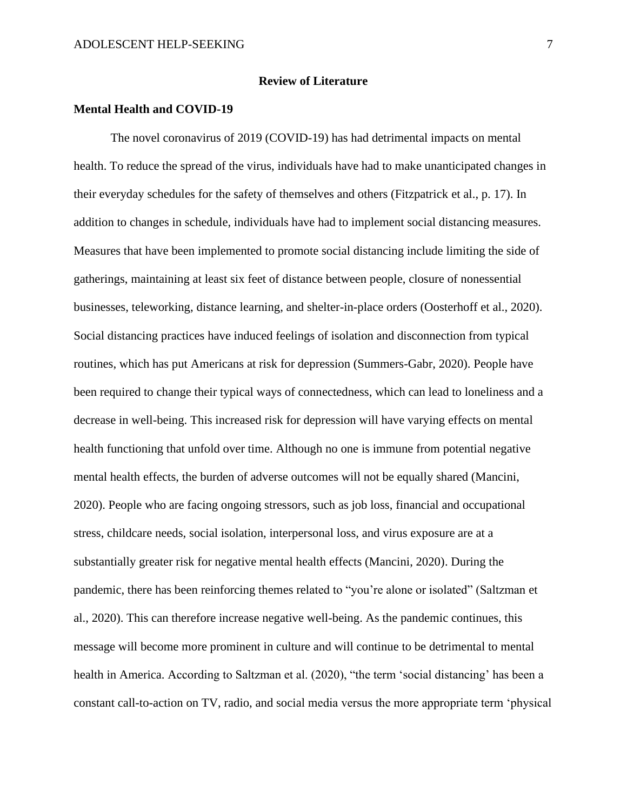#### **Review of Literature**

# **Mental Health and COVID-19**

The novel coronavirus of 2019 (COVID-19) has had detrimental impacts on mental health. To reduce the spread of the virus, individuals have had to make unanticipated changes in their everyday schedules for the safety of themselves and others (Fitzpatrick et al., p. 17). In addition to changes in schedule, individuals have had to implement social distancing measures. Measures that have been implemented to promote social distancing include limiting the side of gatherings, maintaining at least six feet of distance between people, closure of nonessential businesses, teleworking, distance learning, and shelter-in-place orders (Oosterhoff et al., 2020). Social distancing practices have induced feelings of isolation and disconnection from typical routines, which has put Americans at risk for depression (Summers-Gabr, 2020). People have been required to change their typical ways of connectedness, which can lead to loneliness and a decrease in well-being. This increased risk for depression will have varying effects on mental health functioning that unfold over time. Although no one is immune from potential negative mental health effects, the burden of adverse outcomes will not be equally shared (Mancini, 2020). People who are facing ongoing stressors, such as job loss, financial and occupational stress, childcare needs, social isolation, interpersonal loss, and virus exposure are at a substantially greater risk for negative mental health effects (Mancini, 2020). During the pandemic, there has been reinforcing themes related to "you're alone or isolated" (Saltzman et al., 2020). This can therefore increase negative well-being. As the pandemic continues, this message will become more prominent in culture and will continue to be detrimental to mental health in America. According to Saltzman et al. (2020), "the term 'social distancing' has been a constant call-to-action on TV, radio, and social media versus the more appropriate term 'physical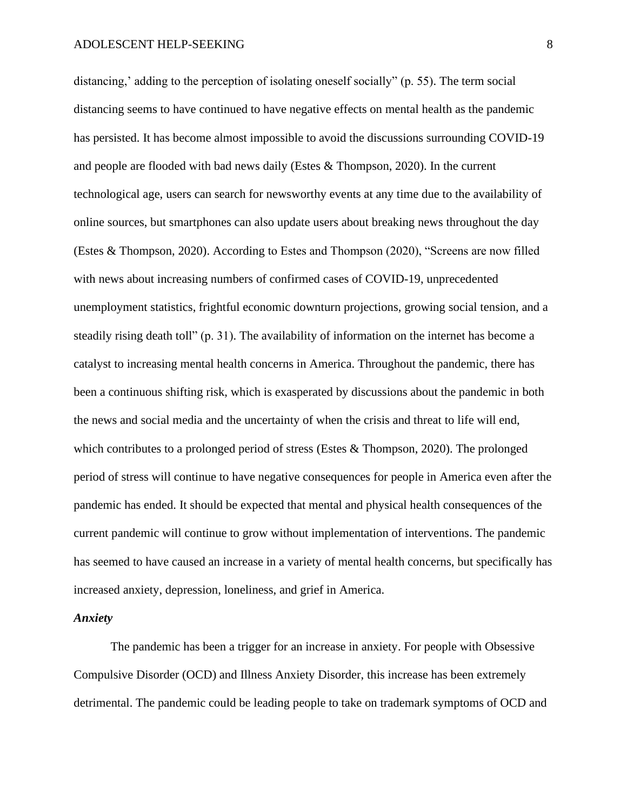distancing,' adding to the perception of isolating oneself socially" (p. 55). The term social distancing seems to have continued to have negative effects on mental health as the pandemic has persisted. It has become almost impossible to avoid the discussions surrounding COVID-19 and people are flooded with bad news daily (Estes & Thompson, 2020). In the current technological age, users can search for newsworthy events at any time due to the availability of online sources, but smartphones can also update users about breaking news throughout the day (Estes & Thompson, 2020). According to Estes and Thompson (2020), "Screens are now filled with news about increasing numbers of confirmed cases of COVID-19, unprecedented unemployment statistics, frightful economic downturn projections, growing social tension, and a steadily rising death toll" (p. 31). The availability of information on the internet has become a catalyst to increasing mental health concerns in America. Throughout the pandemic, there has been a continuous shifting risk, which is exasperated by discussions about the pandemic in both the news and social media and the uncertainty of when the crisis and threat to life will end, which contributes to a prolonged period of stress (Estes & Thompson, 2020). The prolonged period of stress will continue to have negative consequences for people in America even after the pandemic has ended. It should be expected that mental and physical health consequences of the current pandemic will continue to grow without implementation of interventions. The pandemic has seemed to have caused an increase in a variety of mental health concerns, but specifically has increased anxiety, depression, loneliness, and grief in America.

#### *Anxiety*

The pandemic has been a trigger for an increase in anxiety. For people with Obsessive Compulsive Disorder (OCD) and Illness Anxiety Disorder, this increase has been extremely detrimental. The pandemic could be leading people to take on trademark symptoms of OCD and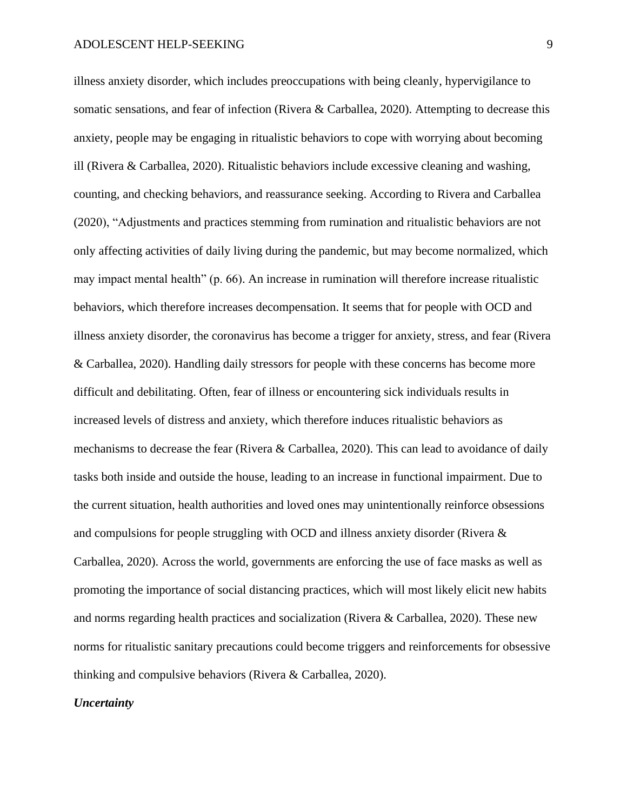illness anxiety disorder, which includes preoccupations with being cleanly, hypervigilance to somatic sensations, and fear of infection (Rivera & Carballea, 2020). Attempting to decrease this anxiety, people may be engaging in ritualistic behaviors to cope with worrying about becoming ill (Rivera & Carballea, 2020). Ritualistic behaviors include excessive cleaning and washing, counting, and checking behaviors, and reassurance seeking. According to Rivera and Carballea (2020), "Adjustments and practices stemming from rumination and ritualistic behaviors are not only affecting activities of daily living during the pandemic, but may become normalized, which may impact mental health" (p. 66). An increase in rumination will therefore increase ritualistic behaviors, which therefore increases decompensation. It seems that for people with OCD and illness anxiety disorder, the coronavirus has become a trigger for anxiety, stress, and fear (Rivera & Carballea, 2020). Handling daily stressors for people with these concerns has become more difficult and debilitating. Often, fear of illness or encountering sick individuals results in increased levels of distress and anxiety, which therefore induces ritualistic behaviors as mechanisms to decrease the fear (Rivera & Carballea, 2020). This can lead to avoidance of daily tasks both inside and outside the house, leading to an increase in functional impairment. Due to the current situation, health authorities and loved ones may unintentionally reinforce obsessions and compulsions for people struggling with OCD and illness anxiety disorder (Rivera & Carballea, 2020). Across the world, governments are enforcing the use of face masks as well as promoting the importance of social distancing practices, which will most likely elicit new habits and norms regarding health practices and socialization (Rivera & Carballea, 2020). These new norms for ritualistic sanitary precautions could become triggers and reinforcements for obsessive thinking and compulsive behaviors (Rivera & Carballea, 2020).

#### *Uncertainty*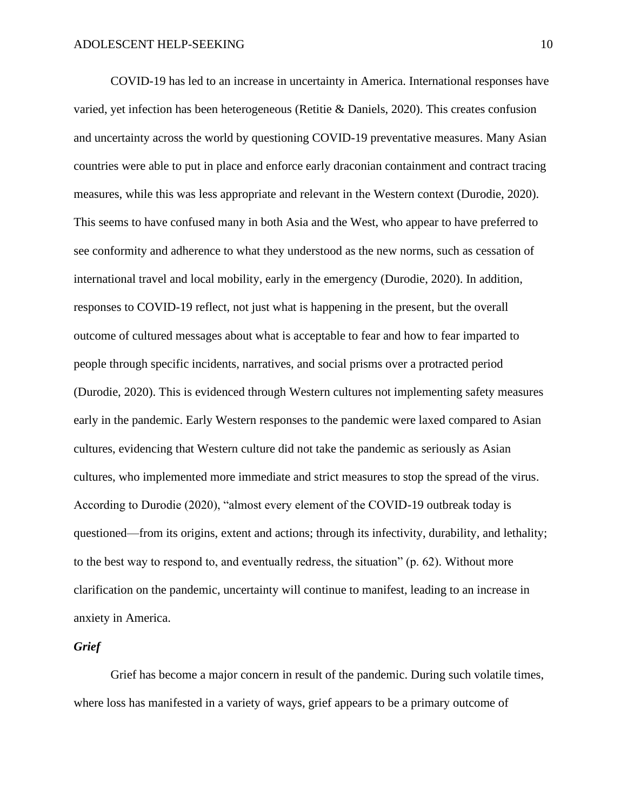COVID-19 has led to an increase in uncertainty in America. International responses have varied, yet infection has been heterogeneous (Retitie & Daniels, 2020). This creates confusion and uncertainty across the world by questioning COVID-19 preventative measures. Many Asian countries were able to put in place and enforce early draconian containment and contract tracing measures, while this was less appropriate and relevant in the Western context (Durodie, 2020). This seems to have confused many in both Asia and the West, who appear to have preferred to see conformity and adherence to what they understood as the new norms, such as cessation of international travel and local mobility, early in the emergency (Durodie, 2020). In addition, responses to COVID-19 reflect, not just what is happening in the present, but the overall outcome of cultured messages about what is acceptable to fear and how to fear imparted to people through specific incidents, narratives, and social prisms over a protracted period (Durodie, 2020). This is evidenced through Western cultures not implementing safety measures early in the pandemic. Early Western responses to the pandemic were laxed compared to Asian cultures, evidencing that Western culture did not take the pandemic as seriously as Asian cultures, who implemented more immediate and strict measures to stop the spread of the virus. According to Durodie (2020), "almost every element of the COVID-19 outbreak today is questioned—from its origins, extent and actions; through its infectivity, durability, and lethality; to the best way to respond to, and eventually redress, the situation" (p. 62). Without more clarification on the pandemic, uncertainty will continue to manifest, leading to an increase in anxiety in America.

# *Grief*

Grief has become a major concern in result of the pandemic. During such volatile times, where loss has manifested in a variety of ways, grief appears to be a primary outcome of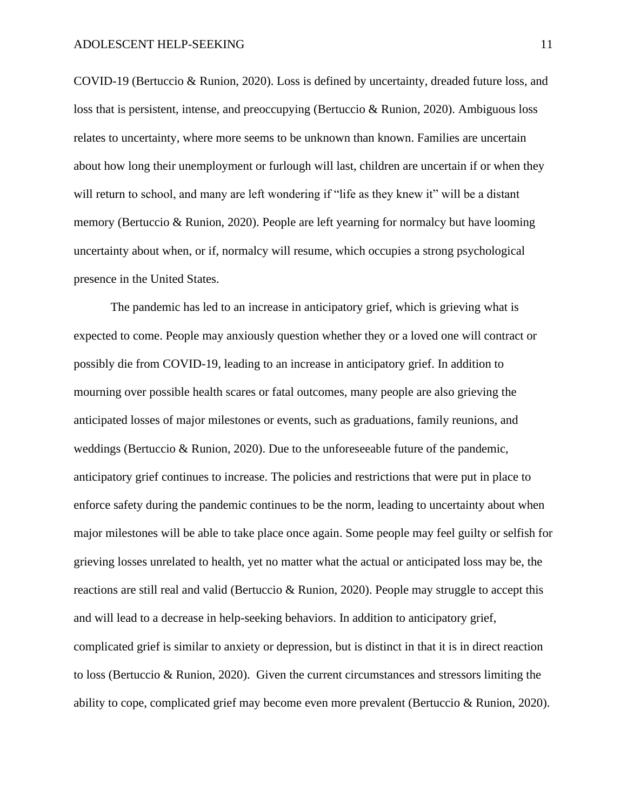COVID-19 (Bertuccio & Runion, 2020). Loss is defined by uncertainty, dreaded future loss, and loss that is persistent, intense, and preoccupying (Bertuccio & Runion, 2020). Ambiguous loss relates to uncertainty, where more seems to be unknown than known. Families are uncertain about how long their unemployment or furlough will last, children are uncertain if or when they will return to school, and many are left wondering if "life as they knew it" will be a distant memory (Bertuccio & Runion, 2020). People are left yearning for normalcy but have looming uncertainty about when, or if, normalcy will resume, which occupies a strong psychological presence in the United States.

The pandemic has led to an increase in anticipatory grief, which is grieving what is expected to come. People may anxiously question whether they or a loved one will contract or possibly die from COVID-19, leading to an increase in anticipatory grief. In addition to mourning over possible health scares or fatal outcomes, many people are also grieving the anticipated losses of major milestones or events, such as graduations, family reunions, and weddings (Bertuccio & Runion, 2020). Due to the unforeseeable future of the pandemic, anticipatory grief continues to increase. The policies and restrictions that were put in place to enforce safety during the pandemic continues to be the norm, leading to uncertainty about when major milestones will be able to take place once again. Some people may feel guilty or selfish for grieving losses unrelated to health, yet no matter what the actual or anticipated loss may be, the reactions are still real and valid (Bertuccio  $\&$  Runion, 2020). People may struggle to accept this and will lead to a decrease in help-seeking behaviors. In addition to anticipatory grief, complicated grief is similar to anxiety or depression, but is distinct in that it is in direct reaction to loss (Bertuccio & Runion, 2020). Given the current circumstances and stressors limiting the ability to cope, complicated grief may become even more prevalent (Bertuccio & Runion, 2020).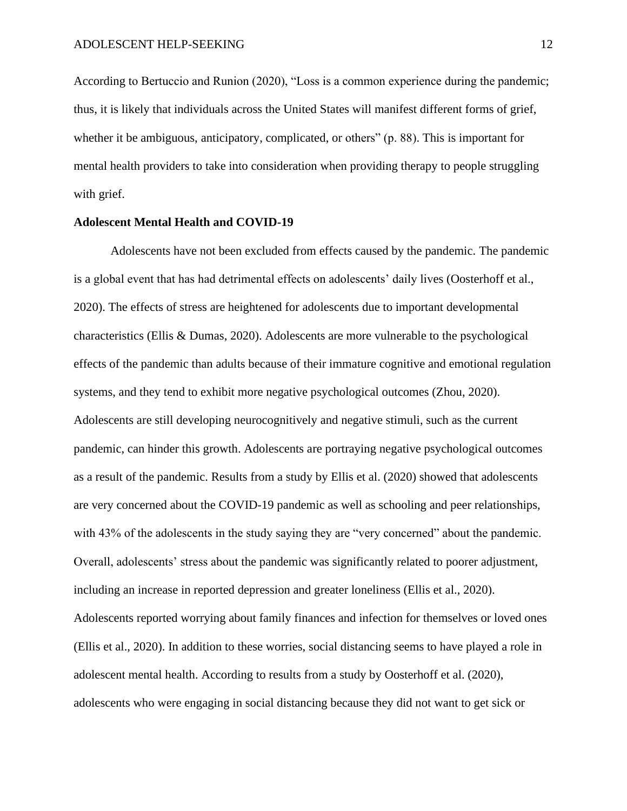According to Bertuccio and Runion (2020), "Loss is a common experience during the pandemic; thus, it is likely that individuals across the United States will manifest different forms of grief, whether it be ambiguous, anticipatory, complicated, or others" (p. 88). This is important for mental health providers to take into consideration when providing therapy to people struggling with grief.

#### **Adolescent Mental Health and COVID-19**

Adolescents have not been excluded from effects caused by the pandemic. The pandemic is a global event that has had detrimental effects on adolescents' daily lives (Oosterhoff et al., 2020). The effects of stress are heightened for adolescents due to important developmental characteristics (Ellis & Dumas, 2020). Adolescents are more vulnerable to the psychological effects of the pandemic than adults because of their immature cognitive and emotional regulation systems, and they tend to exhibit more negative psychological outcomes (Zhou, 2020). Adolescents are still developing neurocognitively and negative stimuli, such as the current pandemic, can hinder this growth. Adolescents are portraying negative psychological outcomes as a result of the pandemic. Results from a study by Ellis et al. (2020) showed that adolescents are very concerned about the COVID-19 pandemic as well as schooling and peer relationships, with 43% of the adolescents in the study saying they are "very concerned" about the pandemic. Overall, adolescents' stress about the pandemic was significantly related to poorer adjustment, including an increase in reported depression and greater loneliness (Ellis et al., 2020). Adolescents reported worrying about family finances and infection for themselves or loved ones (Ellis et al., 2020). In addition to these worries, social distancing seems to have played a role in adolescent mental health. According to results from a study by Oosterhoff et al. (2020), adolescents who were engaging in social distancing because they did not want to get sick or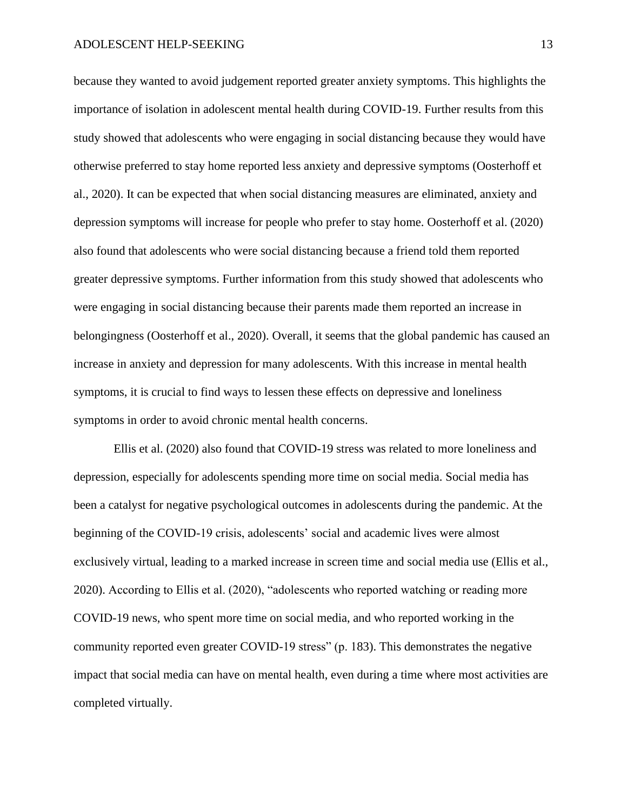because they wanted to avoid judgement reported greater anxiety symptoms. This highlights the importance of isolation in adolescent mental health during COVID-19. Further results from this study showed that adolescents who were engaging in social distancing because they would have otherwise preferred to stay home reported less anxiety and depressive symptoms (Oosterhoff et al., 2020). It can be expected that when social distancing measures are eliminated, anxiety and depression symptoms will increase for people who prefer to stay home. Oosterhoff et al. (2020) also found that adolescents who were social distancing because a friend told them reported greater depressive symptoms. Further information from this study showed that adolescents who were engaging in social distancing because their parents made them reported an increase in belongingness (Oosterhoff et al., 2020). Overall, it seems that the global pandemic has caused an increase in anxiety and depression for many adolescents. With this increase in mental health symptoms, it is crucial to find ways to lessen these effects on depressive and loneliness symptoms in order to avoid chronic mental health concerns.

Ellis et al. (2020) also found that COVID-19 stress was related to more loneliness and depression, especially for adolescents spending more time on social media. Social media has been a catalyst for negative psychological outcomes in adolescents during the pandemic. At the beginning of the COVID-19 crisis, adolescents' social and academic lives were almost exclusively virtual, leading to a marked increase in screen time and social media use (Ellis et al., 2020). According to Ellis et al. (2020), "adolescents who reported watching or reading more COVID-19 news, who spent more time on social media, and who reported working in the community reported even greater COVID-19 stress" (p. 183). This demonstrates the negative impact that social media can have on mental health, even during a time where most activities are completed virtually.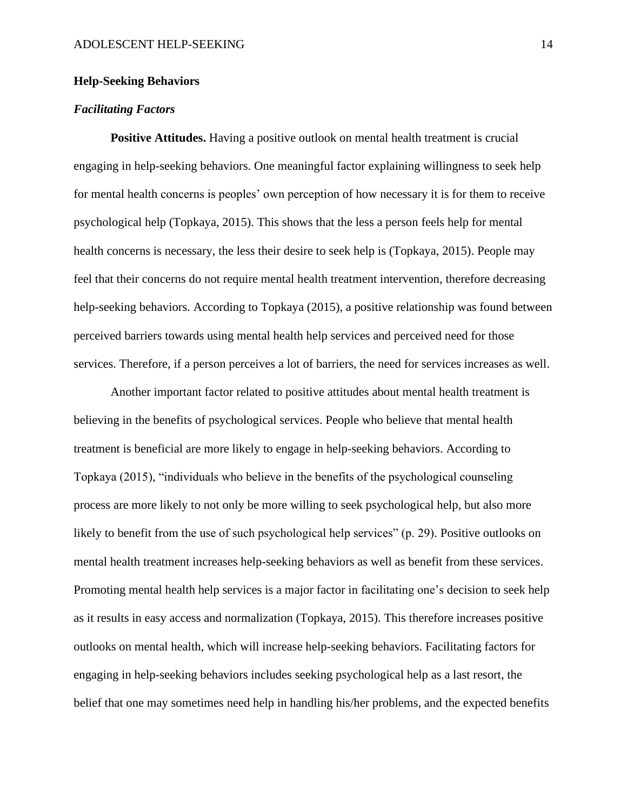### **Help-Seeking Behaviors**

### *Facilitating Factors*

**Positive Attitudes.** Having a positive outlook on mental health treatment is crucial engaging in help-seeking behaviors. One meaningful factor explaining willingness to seek help for mental health concerns is peoples' own perception of how necessary it is for them to receive psychological help (Topkaya, 2015). This shows that the less a person feels help for mental health concerns is necessary, the less their desire to seek help is (Topkaya, 2015). People may feel that their concerns do not require mental health treatment intervention, therefore decreasing help-seeking behaviors. According to Topkaya (2015), a positive relationship was found between perceived barriers towards using mental health help services and perceived need for those services. Therefore, if a person perceives a lot of barriers, the need for services increases as well.

Another important factor related to positive attitudes about mental health treatment is believing in the benefits of psychological services. People who believe that mental health treatment is beneficial are more likely to engage in help-seeking behaviors. According to Topkaya (2015), "individuals who believe in the benefits of the psychological counseling process are more likely to not only be more willing to seek psychological help, but also more likely to benefit from the use of such psychological help services" (p. 29). Positive outlooks on mental health treatment increases help-seeking behaviors as well as benefit from these services. Promoting mental health help services is a major factor in facilitating one's decision to seek help as it results in easy access and normalization (Topkaya, 2015). This therefore increases positive outlooks on mental health, which will increase help-seeking behaviors. Facilitating factors for engaging in help-seeking behaviors includes seeking psychological help as a last resort, the belief that one may sometimes need help in handling his/her problems, and the expected benefits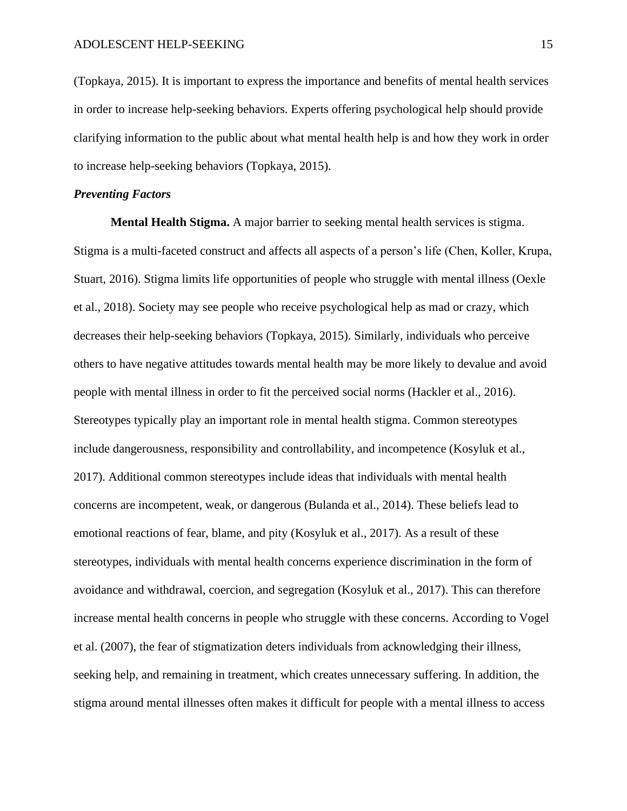(Topkaya, 2015). It is important to express the importance and benefits of mental health services in order to increase help-seeking behaviors. Experts offering psychological help should provide clarifying information to the public about what mental health help is and how they work in order to increase help-seeking behaviors (Topkaya, 2015).

# *Preventing Factors*

**Mental Health Stigma.** A major barrier to seeking mental health services is stigma. Stigma is a multi-faceted construct and affects all aspects of a person's life (Chen, Koller, Krupa, Stuart, 2016). Stigma limits life opportunities of people who struggle with mental illness (Oexle et al., 2018). Society may see people who receive psychological help as mad or crazy, which decreases their help-seeking behaviors (Topkaya, 2015). Similarly, individuals who perceive others to have negative attitudes towards mental health may be more likely to devalue and avoid people with mental illness in order to fit the perceived social norms (Hackler et al., 2016). Stereotypes typically play an important role in mental health stigma. Common stereotypes include dangerousness, responsibility and controllability, and incompetence (Kosyluk et al., 2017). Additional common stereotypes include ideas that individuals with mental health concerns are incompetent, weak, or dangerous (Bulanda et al., 2014). These beliefs lead to emotional reactions of fear, blame, and pity (Kosyluk et al., 2017). As a result of these stereotypes, individuals with mental health concerns experience discrimination in the form of avoidance and withdrawal, coercion, and segregation (Kosyluk et al., 2017). This can therefore increase mental health concerns in people who struggle with these concerns. According to Vogel et al. (2007), the fear of stigmatization deters individuals from acknowledging their illness, seeking help, and remaining in treatment, which creates unnecessary suffering. In addition, the stigma around mental illnesses often makes it difficult for people with a mental illness to access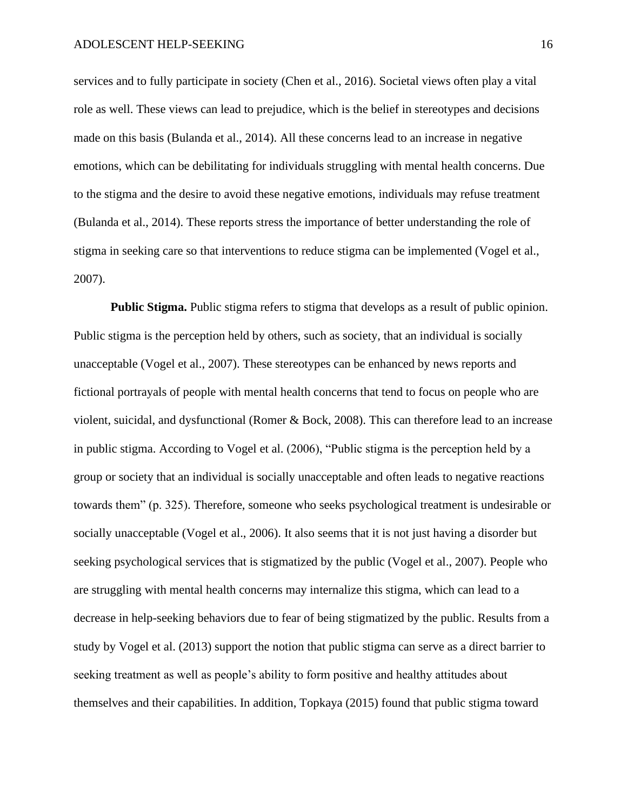services and to fully participate in society (Chen et al., 2016). Societal views often play a vital role as well. These views can lead to prejudice, which is the belief in stereotypes and decisions made on this basis (Bulanda et al., 2014). All these concerns lead to an increase in negative emotions, which can be debilitating for individuals struggling with mental health concerns. Due to the stigma and the desire to avoid these negative emotions, individuals may refuse treatment (Bulanda et al., 2014). These reports stress the importance of better understanding the role of stigma in seeking care so that interventions to reduce stigma can be implemented (Vogel et al., 2007).

**Public Stigma.** Public stigma refers to stigma that develops as a result of public opinion. Public stigma is the perception held by others, such as society, that an individual is socially unacceptable (Vogel et al., 2007). These stereotypes can be enhanced by news reports and fictional portrayals of people with mental health concerns that tend to focus on people who are violent, suicidal, and dysfunctional (Romer & Bock, 2008). This can therefore lead to an increase in public stigma. According to Vogel et al. (2006), "Public stigma is the perception held by a group or society that an individual is socially unacceptable and often leads to negative reactions towards them" (p. 325). Therefore, someone who seeks psychological treatment is undesirable or socially unacceptable (Vogel et al., 2006). It also seems that it is not just having a disorder but seeking psychological services that is stigmatized by the public (Vogel et al., 2007). People who are struggling with mental health concerns may internalize this stigma, which can lead to a decrease in help-seeking behaviors due to fear of being stigmatized by the public. Results from a study by Vogel et al. (2013) support the notion that public stigma can serve as a direct barrier to seeking treatment as well as people's ability to form positive and healthy attitudes about themselves and their capabilities. In addition, Topkaya (2015) found that public stigma toward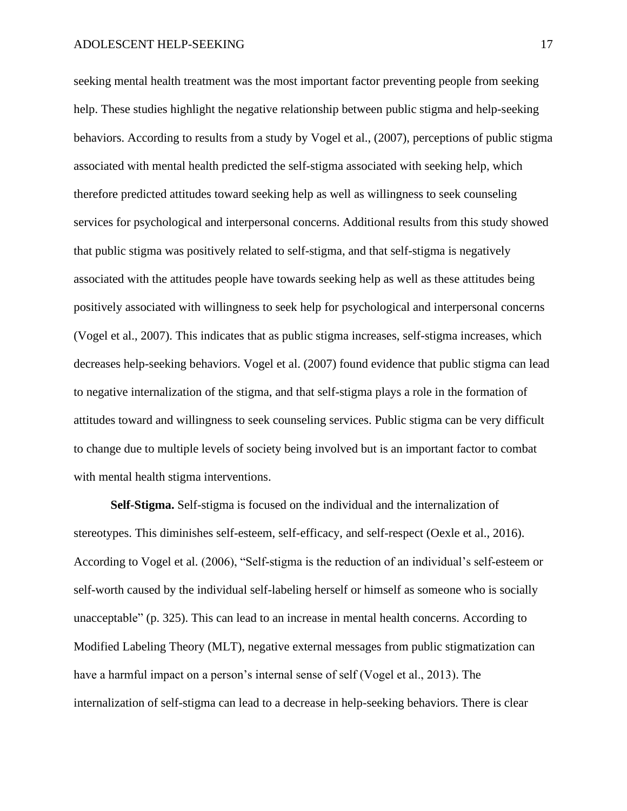seeking mental health treatment was the most important factor preventing people from seeking help. These studies highlight the negative relationship between public stigma and help-seeking behaviors. According to results from a study by Vogel et al., (2007), perceptions of public stigma associated with mental health predicted the self-stigma associated with seeking help, which therefore predicted attitudes toward seeking help as well as willingness to seek counseling services for psychological and interpersonal concerns. Additional results from this study showed that public stigma was positively related to self-stigma, and that self-stigma is negatively associated with the attitudes people have towards seeking help as well as these attitudes being positively associated with willingness to seek help for psychological and interpersonal concerns (Vogel et al., 2007). This indicates that as public stigma increases, self-stigma increases, which decreases help-seeking behaviors. Vogel et al. (2007) found evidence that public stigma can lead to negative internalization of the stigma, and that self-stigma plays a role in the formation of attitudes toward and willingness to seek counseling services. Public stigma can be very difficult to change due to multiple levels of society being involved but is an important factor to combat with mental health stigma interventions.

**Self-Stigma.** Self-stigma is focused on the individual and the internalization of stereotypes. This diminishes self-esteem, self-efficacy, and self-respect (Oexle et al., 2016). According to Vogel et al. (2006), "Self-stigma is the reduction of an individual's self-esteem or self-worth caused by the individual self-labeling herself or himself as someone who is socially unacceptable" (p. 325). This can lead to an increase in mental health concerns. According to Modified Labeling Theory (MLT), negative external messages from public stigmatization can have a harmful impact on a person's internal sense of self (Vogel et al., 2013). The internalization of self-stigma can lead to a decrease in help-seeking behaviors. There is clear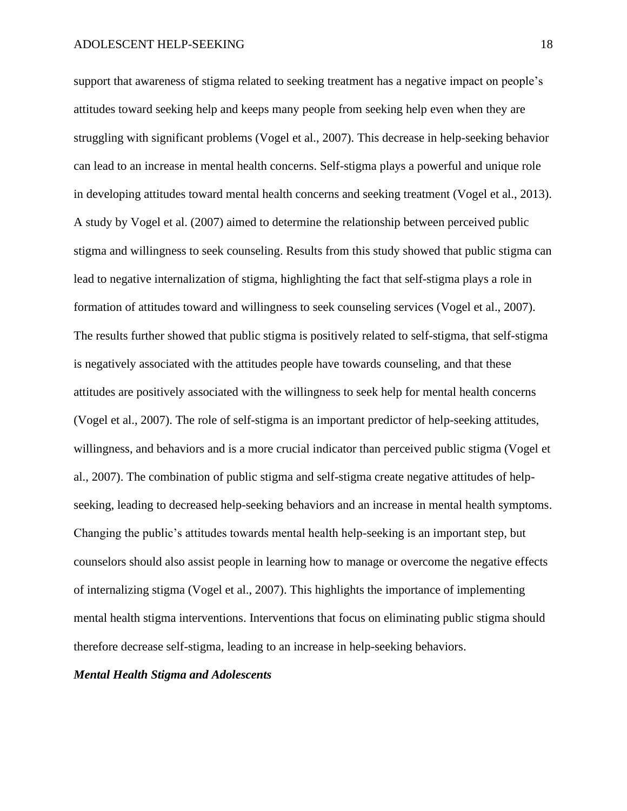support that awareness of stigma related to seeking treatment has a negative impact on people's attitudes toward seeking help and keeps many people from seeking help even when they are struggling with significant problems (Vogel et al., 2007). This decrease in help-seeking behavior can lead to an increase in mental health concerns. Self-stigma plays a powerful and unique role in developing attitudes toward mental health concerns and seeking treatment (Vogel et al., 2013). A study by Vogel et al. (2007) aimed to determine the relationship between perceived public stigma and willingness to seek counseling. Results from this study showed that public stigma can lead to negative internalization of stigma, highlighting the fact that self-stigma plays a role in formation of attitudes toward and willingness to seek counseling services (Vogel et al., 2007). The results further showed that public stigma is positively related to self-stigma, that self-stigma is negatively associated with the attitudes people have towards counseling, and that these attitudes are positively associated with the willingness to seek help for mental health concerns (Vogel et al., 2007). The role of self-stigma is an important predictor of help-seeking attitudes, willingness, and behaviors and is a more crucial indicator than perceived public stigma (Vogel et al., 2007). The combination of public stigma and self-stigma create negative attitudes of helpseeking, leading to decreased help-seeking behaviors and an increase in mental health symptoms. Changing the public's attitudes towards mental health help-seeking is an important step, but counselors should also assist people in learning how to manage or overcome the negative effects of internalizing stigma (Vogel et al., 2007). This highlights the importance of implementing mental health stigma interventions. Interventions that focus on eliminating public stigma should therefore decrease self-stigma, leading to an increase in help-seeking behaviors.

## *Mental Health Stigma and Adolescents*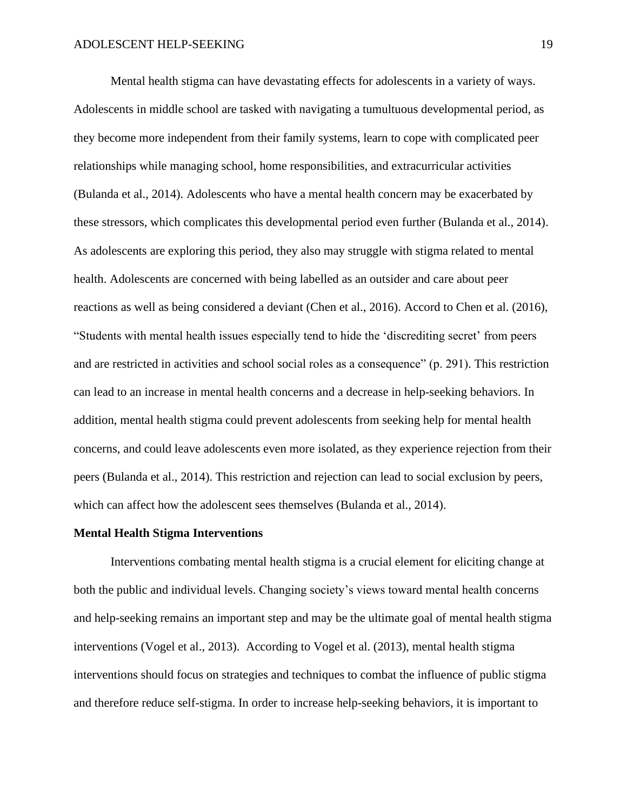Mental health stigma can have devastating effects for adolescents in a variety of ways. Adolescents in middle school are tasked with navigating a tumultuous developmental period, as they become more independent from their family systems, learn to cope with complicated peer relationships while managing school, home responsibilities, and extracurricular activities (Bulanda et al., 2014). Adolescents who have a mental health concern may be exacerbated by these stressors, which complicates this developmental period even further (Bulanda et al., 2014). As adolescents are exploring this period, they also may struggle with stigma related to mental health. Adolescents are concerned with being labelled as an outsider and care about peer reactions as well as being considered a deviant (Chen et al., 2016). Accord to Chen et al. (2016), "Students with mental health issues especially tend to hide the 'discrediting secret' from peers and are restricted in activities and school social roles as a consequence" (p. 291). This restriction can lead to an increase in mental health concerns and a decrease in help-seeking behaviors. In addition, mental health stigma could prevent adolescents from seeking help for mental health concerns, and could leave adolescents even more isolated, as they experience rejection from their peers (Bulanda et al., 2014). This restriction and rejection can lead to social exclusion by peers, which can affect how the adolescent sees themselves (Bulanda et al., 2014).

#### **Mental Health Stigma Interventions**

Interventions combating mental health stigma is a crucial element for eliciting change at both the public and individual levels. Changing society's views toward mental health concerns and help-seeking remains an important step and may be the ultimate goal of mental health stigma interventions (Vogel et al., 2013). According to Vogel et al. (2013), mental health stigma interventions should focus on strategies and techniques to combat the influence of public stigma and therefore reduce self-stigma. In order to increase help-seeking behaviors, it is important to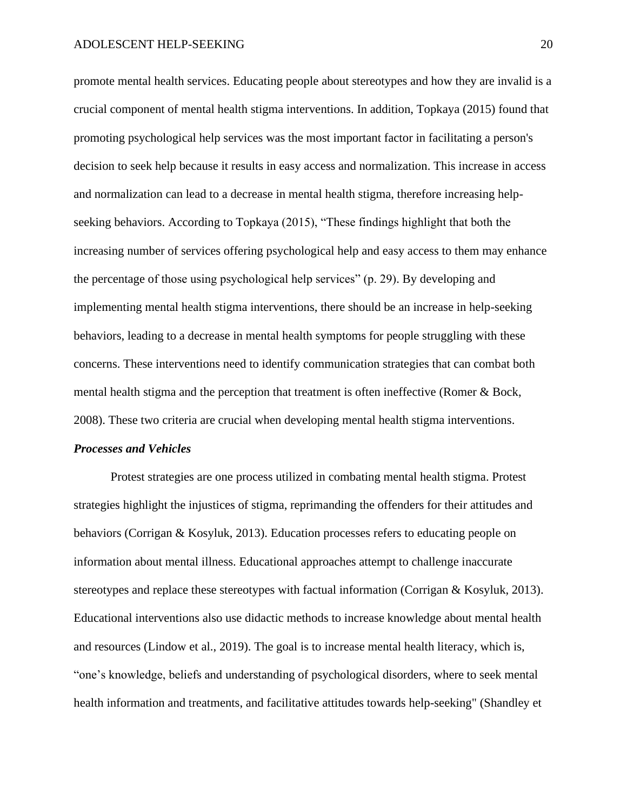promote mental health services. Educating people about stereotypes and how they are invalid is a crucial component of mental health stigma interventions. In addition, Topkaya (2015) found that promoting psychological help services was the most important factor in facilitating a person's decision to seek help because it results in easy access and normalization. This increase in access and normalization can lead to a decrease in mental health stigma, therefore increasing helpseeking behaviors. According to Topkaya (2015), "These findings highlight that both the increasing number of services offering psychological help and easy access to them may enhance the percentage of those using psychological help services" (p. 29). By developing and implementing mental health stigma interventions, there should be an increase in help-seeking behaviors, leading to a decrease in mental health symptoms for people struggling with these concerns. These interventions need to identify communication strategies that can combat both mental health stigma and the perception that treatment is often ineffective (Romer & Bock, 2008). These two criteria are crucial when developing mental health stigma interventions.

#### *Processes and Vehicles*

Protest strategies are one process utilized in combating mental health stigma. Protest strategies highlight the injustices of stigma, reprimanding the offenders for their attitudes and behaviors (Corrigan & Kosyluk, 2013). Education processes refers to educating people on information about mental illness. Educational approaches attempt to challenge inaccurate stereotypes and replace these stereotypes with factual information (Corrigan & Kosyluk, 2013). Educational interventions also use didactic methods to increase knowledge about mental health and resources (Lindow et al., 2019). The goal is to increase mental health literacy, which is, "one's knowledge, beliefs and understanding of psychological disorders, where to seek mental health information and treatments, and facilitative attitudes towards help-seeking" (Shandley et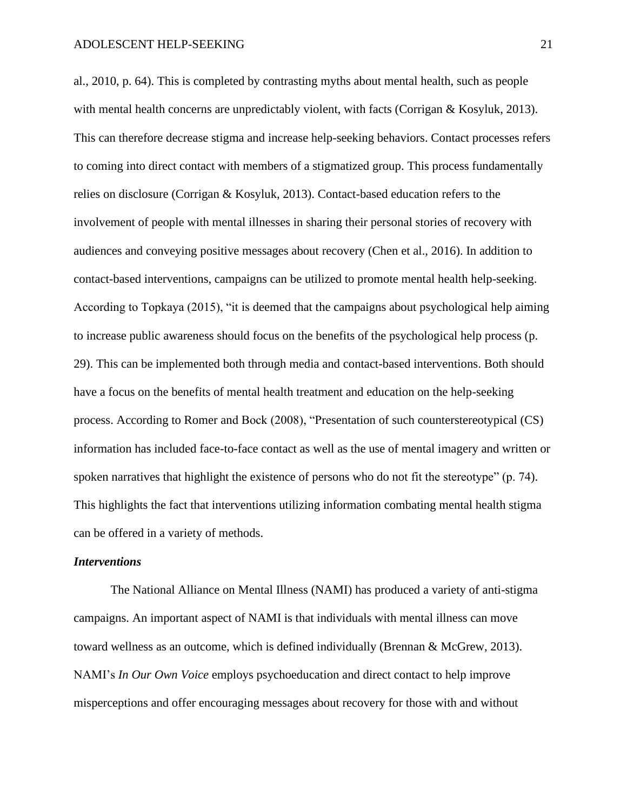al., 2010, p. 64). This is completed by contrasting myths about mental health, such as people with mental health concerns are unpredictably violent, with facts (Corrigan & Kosyluk, 2013). This can therefore decrease stigma and increase help-seeking behaviors. Contact processes refers to coming into direct contact with members of a stigmatized group. This process fundamentally relies on disclosure (Corrigan & Kosyluk, 2013). Contact-based education refers to the involvement of people with mental illnesses in sharing their personal stories of recovery with audiences and conveying positive messages about recovery (Chen et al., 2016). In addition to contact-based interventions, campaigns can be utilized to promote mental health help-seeking. According to Topkaya (2015), "it is deemed that the campaigns about psychological help aiming to increase public awareness should focus on the benefits of the psychological help process (p. 29). This can be implemented both through media and contact-based interventions. Both should have a focus on the benefits of mental health treatment and education on the help-seeking process. According to Romer and Bock (2008), "Presentation of such counterstereotypical (CS) information has included face-to-face contact as well as the use of mental imagery and written or spoken narratives that highlight the existence of persons who do not fit the stereotype" (p. 74). This highlights the fact that interventions utilizing information combating mental health stigma can be offered in a variety of methods.

#### *Interventions*

The National Alliance on Mental Illness (NAMI) has produced a variety of anti-stigma campaigns. An important aspect of NAMI is that individuals with mental illness can move toward wellness as an outcome, which is defined individually (Brennan & McGrew, 2013). NAMI's *In Our Own Voice* employs psychoeducation and direct contact to help improve misperceptions and offer encouraging messages about recovery for those with and without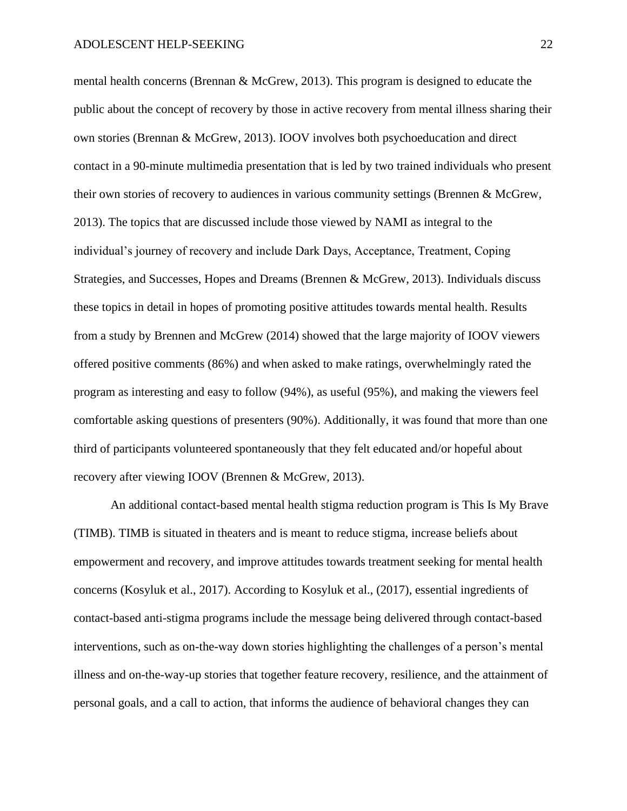mental health concerns (Brennan & McGrew, 2013). This program is designed to educate the public about the concept of recovery by those in active recovery from mental illness sharing their own stories (Brennan & McGrew, 2013). IOOV involves both psychoeducation and direct contact in a 90-minute multimedia presentation that is led by two trained individuals who present their own stories of recovery to audiences in various community settings (Brennen & McGrew, 2013). The topics that are discussed include those viewed by NAMI as integral to the individual's journey of recovery and include Dark Days, Acceptance, Treatment, Coping Strategies, and Successes, Hopes and Dreams (Brennen & McGrew, 2013). Individuals discuss these topics in detail in hopes of promoting positive attitudes towards mental health. Results from a study by Brennen and McGrew (2014) showed that the large majority of IOOV viewers offered positive comments (86%) and when asked to make ratings, overwhelmingly rated the program as interesting and easy to follow (94%), as useful (95%), and making the viewers feel comfortable asking questions of presenters (90%). Additionally, it was found that more than one third of participants volunteered spontaneously that they felt educated and/or hopeful about recovery after viewing IOOV (Brennen & McGrew, 2013).

An additional contact-based mental health stigma reduction program is This Is My Brave (TIMB). TIMB is situated in theaters and is meant to reduce stigma, increase beliefs about empowerment and recovery, and improve attitudes towards treatment seeking for mental health concerns (Kosyluk et al., 2017). According to Kosyluk et al., (2017), essential ingredients of contact-based anti-stigma programs include the message being delivered through contact-based interventions, such as on-the-way down stories highlighting the challenges of a person's mental illness and on-the-way-up stories that together feature recovery, resilience, and the attainment of personal goals, and a call to action, that informs the audience of behavioral changes they can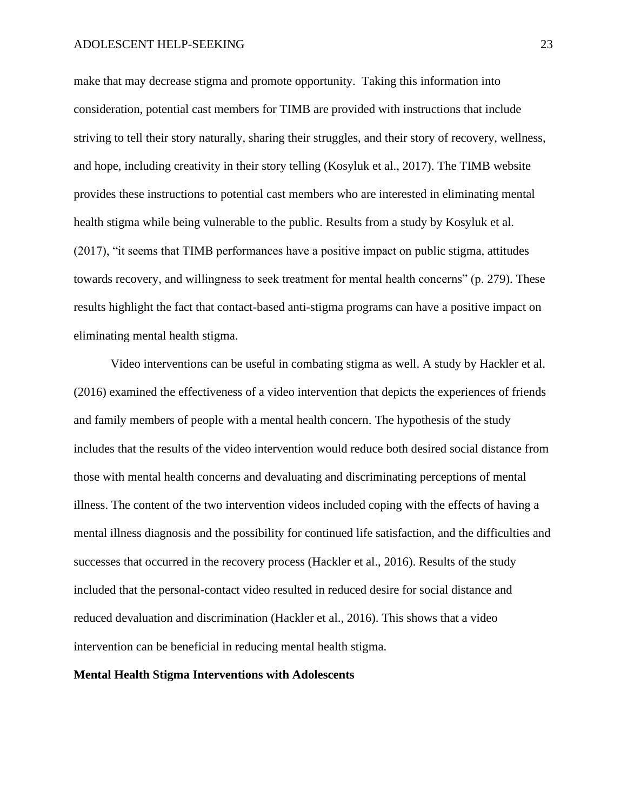make that may decrease stigma and promote opportunity. Taking this information into consideration, potential cast members for TIMB are provided with instructions that include striving to tell their story naturally, sharing their struggles, and their story of recovery, wellness, and hope, including creativity in their story telling (Kosyluk et al., 2017). The TIMB website provides these instructions to potential cast members who are interested in eliminating mental health stigma while being vulnerable to the public. Results from a study by Kosyluk et al. (2017), "it seems that TIMB performances have a positive impact on public stigma, attitudes towards recovery, and willingness to seek treatment for mental health concerns" (p. 279). These results highlight the fact that contact-based anti-stigma programs can have a positive impact on eliminating mental health stigma.

Video interventions can be useful in combating stigma as well. A study by Hackler et al. (2016) examined the effectiveness of a video intervention that depicts the experiences of friends and family members of people with a mental health concern. The hypothesis of the study includes that the results of the video intervention would reduce both desired social distance from those with mental health concerns and devaluating and discriminating perceptions of mental illness. The content of the two intervention videos included coping with the effects of having a mental illness diagnosis and the possibility for continued life satisfaction, and the difficulties and successes that occurred in the recovery process (Hackler et al., 2016). Results of the study included that the personal-contact video resulted in reduced desire for social distance and reduced devaluation and discrimination (Hackler et al., 2016). This shows that a video intervention can be beneficial in reducing mental health stigma.

#### **Mental Health Stigma Interventions with Adolescents**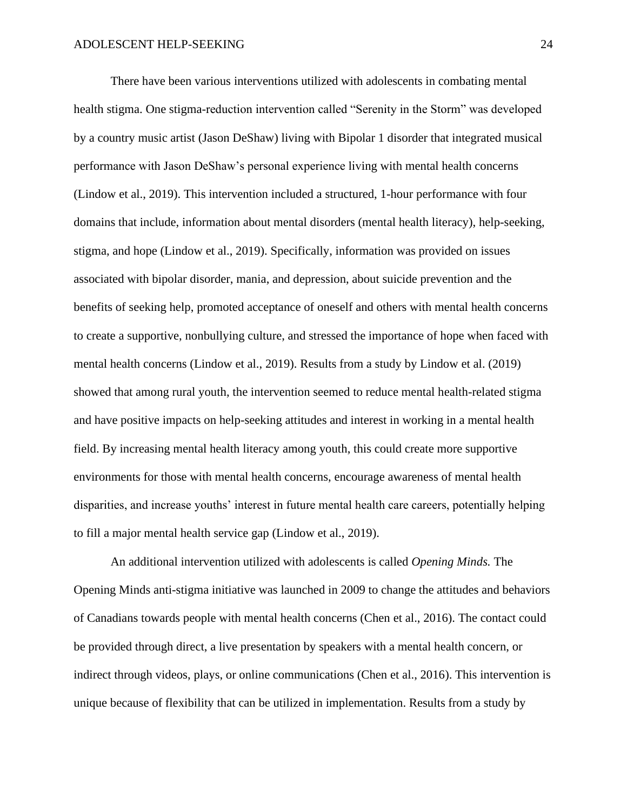There have been various interventions utilized with adolescents in combating mental health stigma. One stigma-reduction intervention called "Serenity in the Storm" was developed by a country music artist (Jason DeShaw) living with Bipolar 1 disorder that integrated musical performance with Jason DeShaw's personal experience living with mental health concerns (Lindow et al., 2019). This intervention included a structured, 1-hour performance with four domains that include, information about mental disorders (mental health literacy), help-seeking, stigma, and hope (Lindow et al., 2019). Specifically, information was provided on issues associated with bipolar disorder, mania, and depression, about suicide prevention and the benefits of seeking help, promoted acceptance of oneself and others with mental health concerns to create a supportive, nonbullying culture, and stressed the importance of hope when faced with mental health concerns (Lindow et al., 2019). Results from a study by Lindow et al. (2019) showed that among rural youth, the intervention seemed to reduce mental health-related stigma and have positive impacts on help-seeking attitudes and interest in working in a mental health field. By increasing mental health literacy among youth, this could create more supportive environments for those with mental health concerns, encourage awareness of mental health disparities, and increase youths' interest in future mental health care careers, potentially helping to fill a major mental health service gap (Lindow et al., 2019).

An additional intervention utilized with adolescents is called *Opening Minds.* The Opening Minds anti-stigma initiative was launched in 2009 to change the attitudes and behaviors of Canadians towards people with mental health concerns (Chen et al., 2016). The contact could be provided through direct, a live presentation by speakers with a mental health concern, or indirect through videos, plays, or online communications (Chen et al., 2016). This intervention is unique because of flexibility that can be utilized in implementation. Results from a study by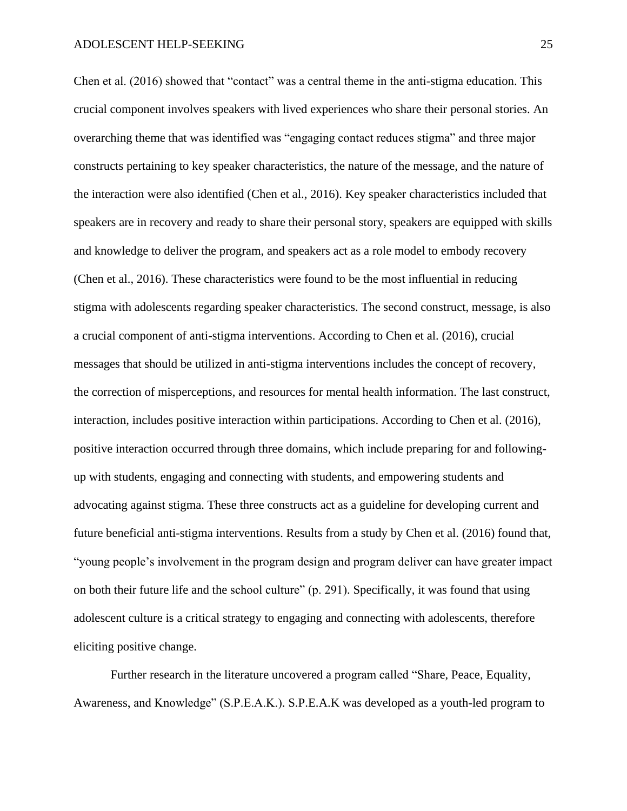Chen et al. (2016) showed that "contact" was a central theme in the anti-stigma education. This crucial component involves speakers with lived experiences who share their personal stories. An overarching theme that was identified was "engaging contact reduces stigma" and three major constructs pertaining to key speaker characteristics, the nature of the message, and the nature of the interaction were also identified (Chen et al., 2016). Key speaker characteristics included that speakers are in recovery and ready to share their personal story, speakers are equipped with skills and knowledge to deliver the program, and speakers act as a role model to embody recovery (Chen et al., 2016). These characteristics were found to be the most influential in reducing stigma with adolescents regarding speaker characteristics. The second construct, message, is also a crucial component of anti-stigma interventions. According to Chen et al. (2016), crucial messages that should be utilized in anti-stigma interventions includes the concept of recovery, the correction of misperceptions, and resources for mental health information. The last construct, interaction, includes positive interaction within participations. According to Chen et al. (2016), positive interaction occurred through three domains, which include preparing for and followingup with students, engaging and connecting with students, and empowering students and advocating against stigma. These three constructs act as a guideline for developing current and future beneficial anti-stigma interventions. Results from a study by Chen et al. (2016) found that, "young people's involvement in the program design and program deliver can have greater impact on both their future life and the school culture" (p. 291). Specifically, it was found that using adolescent culture is a critical strategy to engaging and connecting with adolescents, therefore eliciting positive change.

Further research in the literature uncovered a program called "Share, Peace, Equality, Awareness, and Knowledge" (S.P.E.A.K.). S.P.E.A.K was developed as a youth-led program to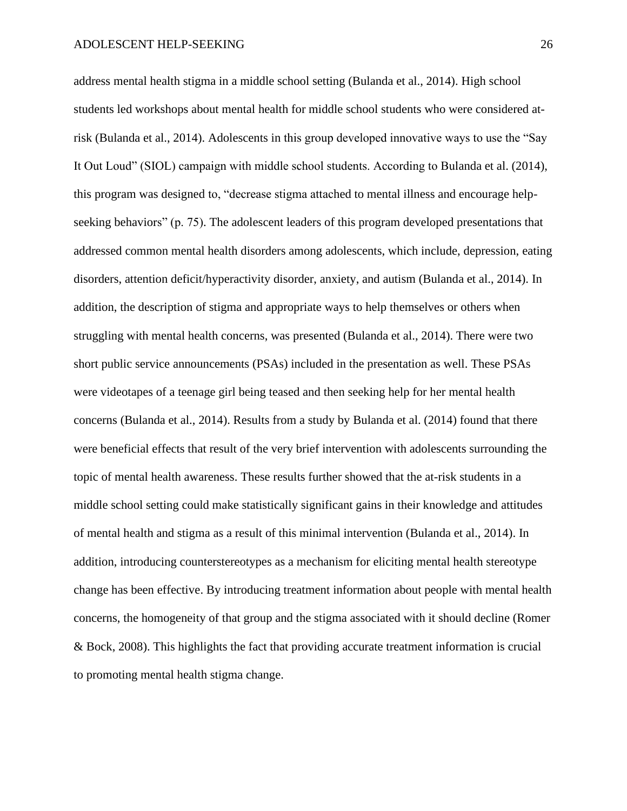address mental health stigma in a middle school setting (Bulanda et al., 2014). High school students led workshops about mental health for middle school students who were considered atrisk (Bulanda et al., 2014). Adolescents in this group developed innovative ways to use the "Say It Out Loud" (SIOL) campaign with middle school students. According to Bulanda et al. (2014), this program was designed to, "decrease stigma attached to mental illness and encourage helpseeking behaviors" (p. 75). The adolescent leaders of this program developed presentations that addressed common mental health disorders among adolescents, which include, depression, eating disorders, attention deficit/hyperactivity disorder, anxiety, and autism (Bulanda et al., 2014). In addition, the description of stigma and appropriate ways to help themselves or others when struggling with mental health concerns, was presented (Bulanda et al., 2014). There were two short public service announcements (PSAs) included in the presentation as well. These PSAs were videotapes of a teenage girl being teased and then seeking help for her mental health concerns (Bulanda et al., 2014). Results from a study by Bulanda et al. (2014) found that there were beneficial effects that result of the very brief intervention with adolescents surrounding the topic of mental health awareness. These results further showed that the at-risk students in a middle school setting could make statistically significant gains in their knowledge and attitudes of mental health and stigma as a result of this minimal intervention (Bulanda et al., 2014). In addition, introducing counterstereotypes as a mechanism for eliciting mental health stereotype change has been effective. By introducing treatment information about people with mental health concerns, the homogeneity of that group and the stigma associated with it should decline (Romer & Bock, 2008). This highlights the fact that providing accurate treatment information is crucial to promoting mental health stigma change.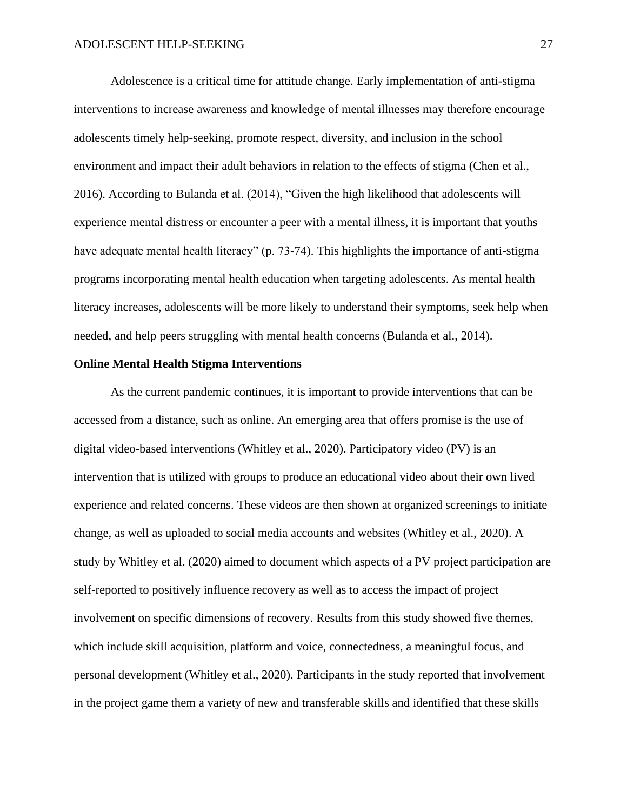Adolescence is a critical time for attitude change. Early implementation of anti-stigma interventions to increase awareness and knowledge of mental illnesses may therefore encourage adolescents timely help-seeking, promote respect, diversity, and inclusion in the school environment and impact their adult behaviors in relation to the effects of stigma (Chen et al., 2016). According to Bulanda et al. (2014), "Given the high likelihood that adolescents will experience mental distress or encounter a peer with a mental illness, it is important that youths have adequate mental health literacy" (p. 73-74). This highlights the importance of anti-stigma programs incorporating mental health education when targeting adolescents. As mental health literacy increases, adolescents will be more likely to understand their symptoms, seek help when needed, and help peers struggling with mental health concerns (Bulanda et al., 2014).

#### **Online Mental Health Stigma Interventions**

As the current pandemic continues, it is important to provide interventions that can be accessed from a distance, such as online. An emerging area that offers promise is the use of digital video-based interventions (Whitley et al., 2020). Participatory video (PV) is an intervention that is utilized with groups to produce an educational video about their own lived experience and related concerns. These videos are then shown at organized screenings to initiate change, as well as uploaded to social media accounts and websites (Whitley et al., 2020). A study by Whitley et al. (2020) aimed to document which aspects of a PV project participation are self-reported to positively influence recovery as well as to access the impact of project involvement on specific dimensions of recovery. Results from this study showed five themes, which include skill acquisition, platform and voice, connectedness, a meaningful focus, and personal development (Whitley et al., 2020). Participants in the study reported that involvement in the project game them a variety of new and transferable skills and identified that these skills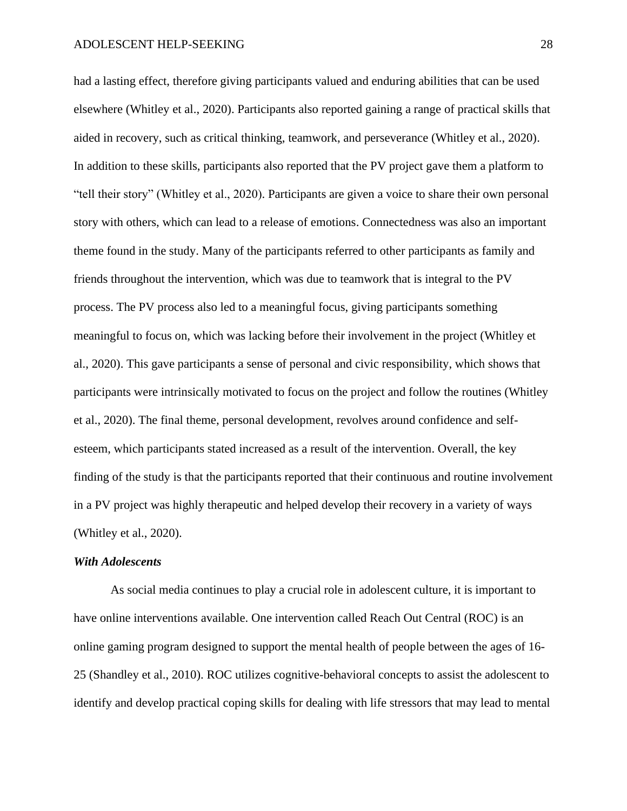had a lasting effect, therefore giving participants valued and enduring abilities that can be used elsewhere (Whitley et al., 2020). Participants also reported gaining a range of practical skills that aided in recovery, such as critical thinking, teamwork, and perseverance (Whitley et al., 2020). In addition to these skills, participants also reported that the PV project gave them a platform to "tell their story" (Whitley et al., 2020). Participants are given a voice to share their own personal story with others, which can lead to a release of emotions. Connectedness was also an important theme found in the study. Many of the participants referred to other participants as family and friends throughout the intervention, which was due to teamwork that is integral to the PV process. The PV process also led to a meaningful focus, giving participants something meaningful to focus on, which was lacking before their involvement in the project (Whitley et al., 2020). This gave participants a sense of personal and civic responsibility, which shows that participants were intrinsically motivated to focus on the project and follow the routines (Whitley et al., 2020). The final theme, personal development, revolves around confidence and selfesteem, which participants stated increased as a result of the intervention. Overall, the key finding of the study is that the participants reported that their continuous and routine involvement in a PV project was highly therapeutic and helped develop their recovery in a variety of ways (Whitley et al., 2020).

#### *With Adolescents*

As social media continues to play a crucial role in adolescent culture, it is important to have online interventions available. One intervention called Reach Out Central (ROC) is an online gaming program designed to support the mental health of people between the ages of 16- 25 (Shandley et al., 2010). ROC utilizes cognitive-behavioral concepts to assist the adolescent to identify and develop practical coping skills for dealing with life stressors that may lead to mental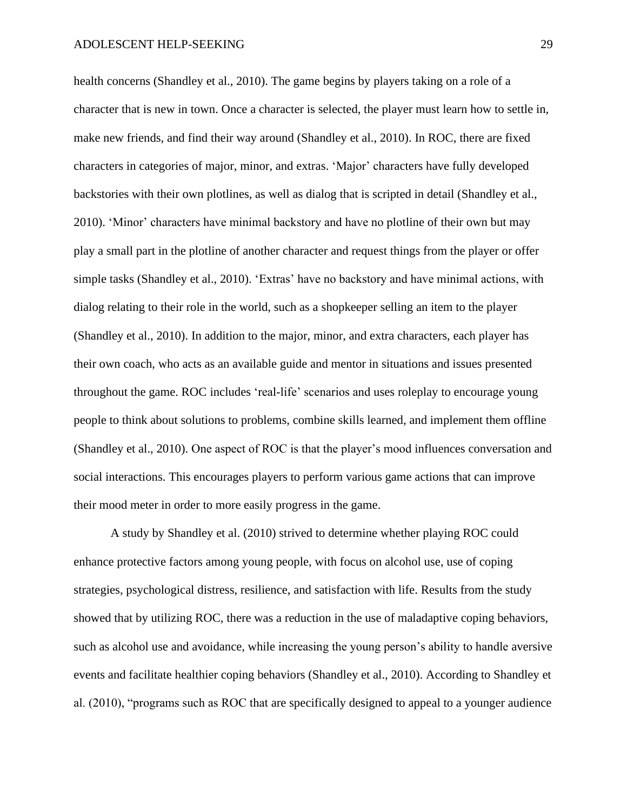health concerns (Shandley et al., 2010). The game begins by players taking on a role of a character that is new in town. Once a character is selected, the player must learn how to settle in, make new friends, and find their way around (Shandley et al., 2010). In ROC, there are fixed characters in categories of major, minor, and extras. 'Major' characters have fully developed backstories with their own plotlines, as well as dialog that is scripted in detail (Shandley et al., 2010). 'Minor' characters have minimal backstory and have no plotline of their own but may play a small part in the plotline of another character and request things from the player or offer simple tasks (Shandley et al., 2010). 'Extras' have no backstory and have minimal actions, with dialog relating to their role in the world, such as a shopkeeper selling an item to the player (Shandley et al., 2010). In addition to the major, minor, and extra characters, each player has their own coach, who acts as an available guide and mentor in situations and issues presented throughout the game. ROC includes 'real-life' scenarios and uses roleplay to encourage young people to think about solutions to problems, combine skills learned, and implement them offline (Shandley et al., 2010). One aspect of ROC is that the player's mood influences conversation and social interactions. This encourages players to perform various game actions that can improve their mood meter in order to more easily progress in the game.

A study by Shandley et al. (2010) strived to determine whether playing ROC could enhance protective factors among young people, with focus on alcohol use, use of coping strategies, psychological distress, resilience, and satisfaction with life. Results from the study showed that by utilizing ROC, there was a reduction in the use of maladaptive coping behaviors, such as alcohol use and avoidance, while increasing the young person's ability to handle aversive events and facilitate healthier coping behaviors (Shandley et al., 2010). According to Shandley et al. (2010), "programs such as ROC that are specifically designed to appeal to a younger audience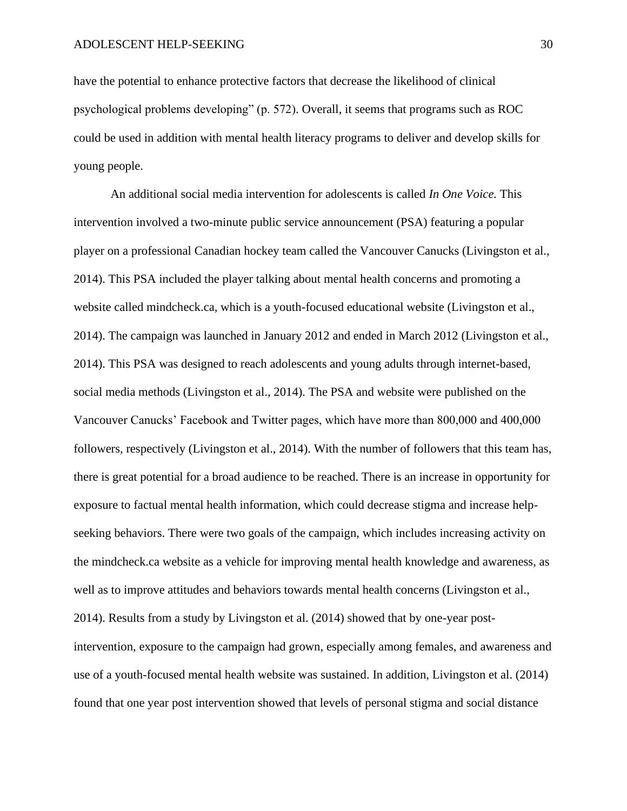have the potential to enhance protective factors that decrease the likelihood of clinical psychological problems developing" (p. 572). Overall, it seems that programs such as ROC could be used in addition with mental health literacy programs to deliver and develop skills for young people.

An additional social media intervention for adolescents is called *In One Voice.* This intervention involved a two-minute public service announcement (PSA) featuring a popular player on a professional Canadian hockey team called the Vancouver Canucks (Livingston et al., 2014). This PSA included the player talking about mental health concerns and promoting a website called mindcheck.ca, which is a youth-focused educational website (Livingston et al., 2014). The campaign was launched in January 2012 and ended in March 2012 (Livingston et al., 2014). This PSA was designed to reach adolescents and young adults through internet-based, social media methods (Livingston et al., 2014). The PSA and website were published on the Vancouver Canucks' Facebook and Twitter pages, which have more than 800,000 and 400,000 followers, respectively (Livingston et al., 2014). With the number of followers that this team has, there is great potential for a broad audience to be reached. There is an increase in opportunity for exposure to factual mental health information, which could decrease stigma and increase helpseeking behaviors. There were two goals of the campaign, which includes increasing activity on the mindcheck.ca website as a vehicle for improving mental health knowledge and awareness, as well as to improve attitudes and behaviors towards mental health concerns (Livingston et al., 2014). Results from a study by Livingston et al. (2014) showed that by one-year postintervention, exposure to the campaign had grown, especially among females, and awareness and use of a youth-focused mental health website was sustained. In addition, Livingston et al. (2014) found that one year post intervention showed that levels of personal stigma and social distance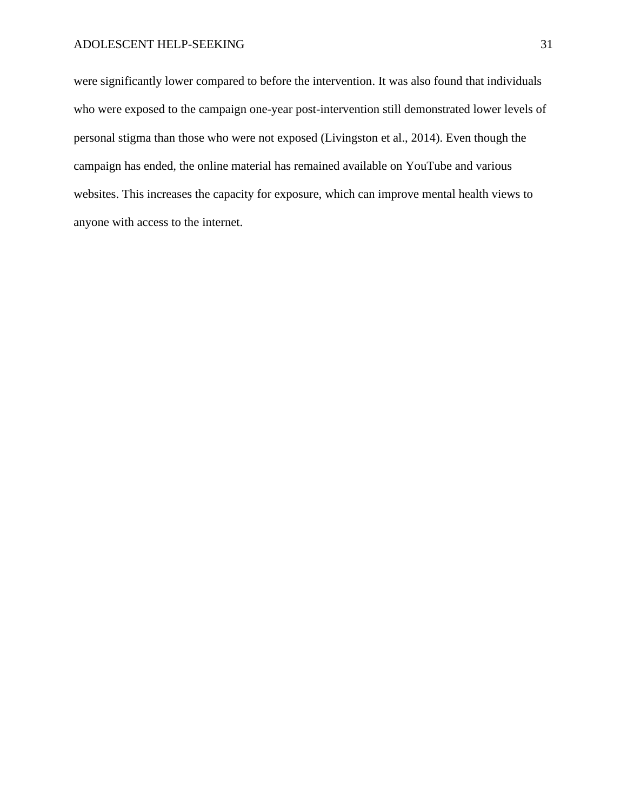were significantly lower compared to before the intervention. It was also found that individuals who were exposed to the campaign one-year post-intervention still demonstrated lower levels of personal stigma than those who were not exposed (Livingston et al., 2014). Even though the campaign has ended, the online material has remained available on YouTube and various websites. This increases the capacity for exposure, which can improve mental health views to anyone with access to the internet.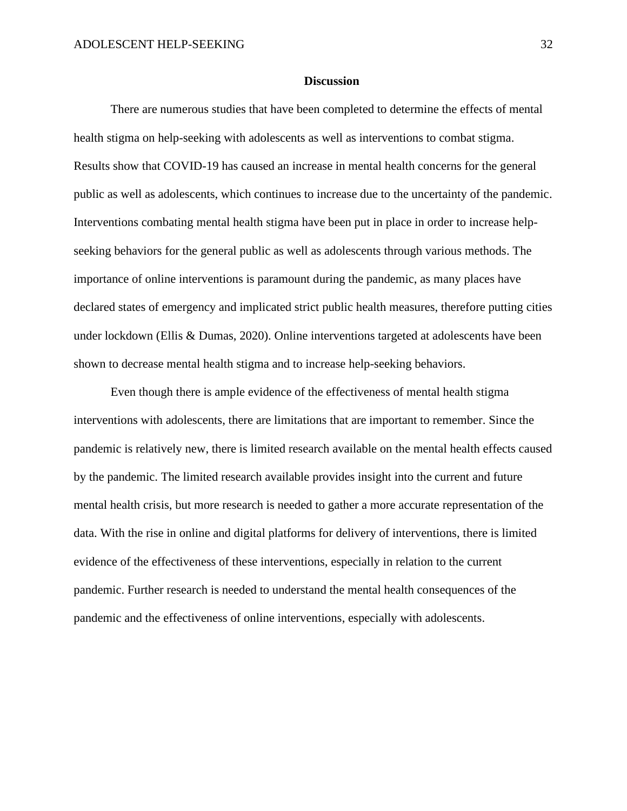#### **Discussion**

There are numerous studies that have been completed to determine the effects of mental health stigma on help-seeking with adolescents as well as interventions to combat stigma. Results show that COVID-19 has caused an increase in mental health concerns for the general public as well as adolescents, which continues to increase due to the uncertainty of the pandemic. Interventions combating mental health stigma have been put in place in order to increase helpseeking behaviors for the general public as well as adolescents through various methods. The importance of online interventions is paramount during the pandemic, as many places have declared states of emergency and implicated strict public health measures, therefore putting cities under lockdown (Ellis & Dumas, 2020). Online interventions targeted at adolescents have been shown to decrease mental health stigma and to increase help-seeking behaviors.

Even though there is ample evidence of the effectiveness of mental health stigma interventions with adolescents, there are limitations that are important to remember. Since the pandemic is relatively new, there is limited research available on the mental health effects caused by the pandemic. The limited research available provides insight into the current and future mental health crisis, but more research is needed to gather a more accurate representation of the data. With the rise in online and digital platforms for delivery of interventions, there is limited evidence of the effectiveness of these interventions, especially in relation to the current pandemic. Further research is needed to understand the mental health consequences of the pandemic and the effectiveness of online interventions, especially with adolescents.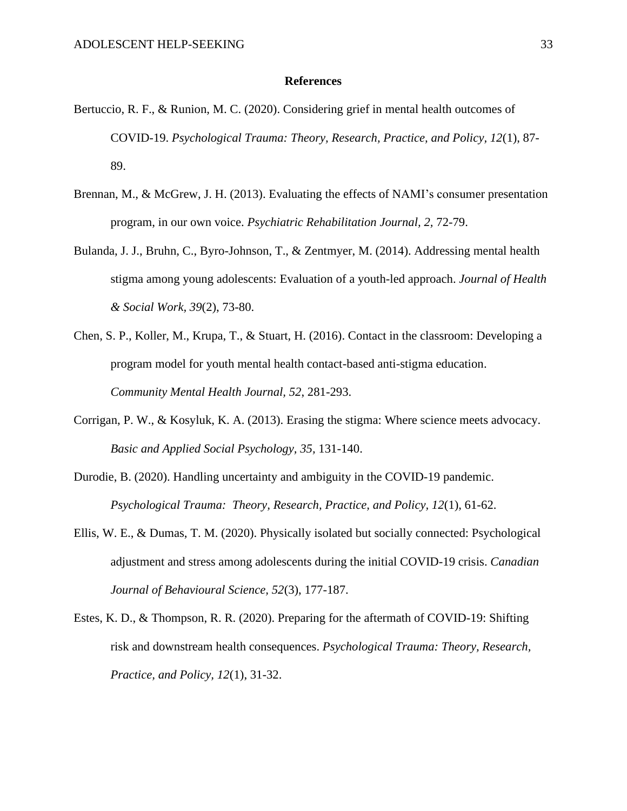#### **References**

- Bertuccio, R. F., & Runion, M. C. (2020). Considering grief in mental health outcomes of COVID-19. *Psychological Trauma: Theory, Research, Practice, and Policy, 12*(1), 87- 89.
- Brennan, M., & McGrew, J. H. (2013). Evaluating the effects of NAMI's consumer presentation program, in our own voice. *Psychiatric Rehabilitation Journal, 2,* 72-79.
- Bulanda, J. J., Bruhn, C., Byro-Johnson, T., & Zentmyer, M. (2014). Addressing mental health stigma among young adolescents: Evaluation of a youth-led approach. *Journal of Health & Social Work, 39*(2), 73-80.
- Chen, S. P., Koller, M., Krupa, T., & Stuart, H. (2016). Contact in the classroom: Developing a program model for youth mental health contact-based anti-stigma education. *Community Mental Health Journal, 52*, 281-293.
- Corrigan, P. W., & Kosyluk, K. A. (2013). Erasing the stigma: Where science meets advocacy. *Basic and Applied Social Psychology, 35,* 131-140.
- Durodie, B. (2020). Handling uncertainty and ambiguity in the COVID-19 pandemic. *Psychological Trauma: Theory, Research, Practice, and Policy, 12*(1), 61-62.
- Ellis, W. E., & Dumas, T. M. (2020). Physically isolated but socially connected: Psychological adjustment and stress among adolescents during the initial COVID-19 crisis. *Canadian Journal of Behavioural Science, 52*(3), 177-187.
- Estes, K. D., & Thompson, R. R. (2020). Preparing for the aftermath of COVID-19: Shifting risk and downstream health consequences. *Psychological Trauma: Theory, Research, Practice, and Policy, 12*(1), 31-32.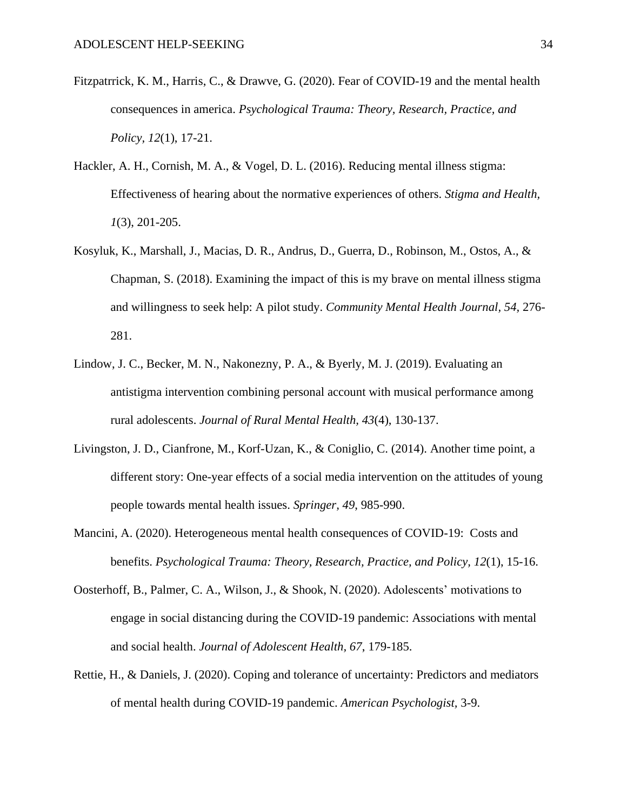- Fitzpatrrick, K. M., Harris, C., & Drawve, G. (2020). Fear of COVID-19 and the mental health consequences in america. *Psychological Trauma: Theory, Research, Practice, and Policy, 12*(1), 17-21.
- Hackler, A. H., Cornish, M. A., & Vogel, D. L. (2016). Reducing mental illness stigma: Effectiveness of hearing about the normative experiences of others. *Stigma and Health, 1*(3), 201-205.
- Kosyluk, K., Marshall, J., Macias, D. R., Andrus, D., Guerra, D., Robinson, M., Ostos, A., & Chapman, S. (2018). Examining the impact of this is my brave on mental illness stigma and willingness to seek help: A pilot study. *Community Mental Health Journal, 54,* 276- 281.
- Lindow, J. C., Becker, M. N., Nakonezny, P. A., & Byerly, M. J. (2019). Evaluating an antistigma intervention combining personal account with musical performance among rural adolescents. *Journal of Rural Mental Health, 43*(4), 130-137.
- Livingston, J. D., Cianfrone, M., Korf-Uzan, K., & Coniglio, C. (2014). Another time point, a different story: One-year effects of a social media intervention on the attitudes of young people towards mental health issues. *Springer, 49*, 985-990.
- Mancini, A. (2020). Heterogeneous mental health consequences of COVID-19: Costs and benefits. *Psychological Trauma: Theory, Research, Practice, and Policy, 12*(1), 15-16.
- Oosterhoff, B., Palmer, C. A., Wilson, J., & Shook, N. (2020). Adolescents' motivations to engage in social distancing during the COVID-19 pandemic: Associations with mental and social health. *Journal of Adolescent Health, 67*, 179-185.
- Rettie, H., & Daniels, J. (2020). Coping and tolerance of uncertainty: Predictors and mediators of mental health during COVID-19 pandemic. *American Psychologist,* 3-9.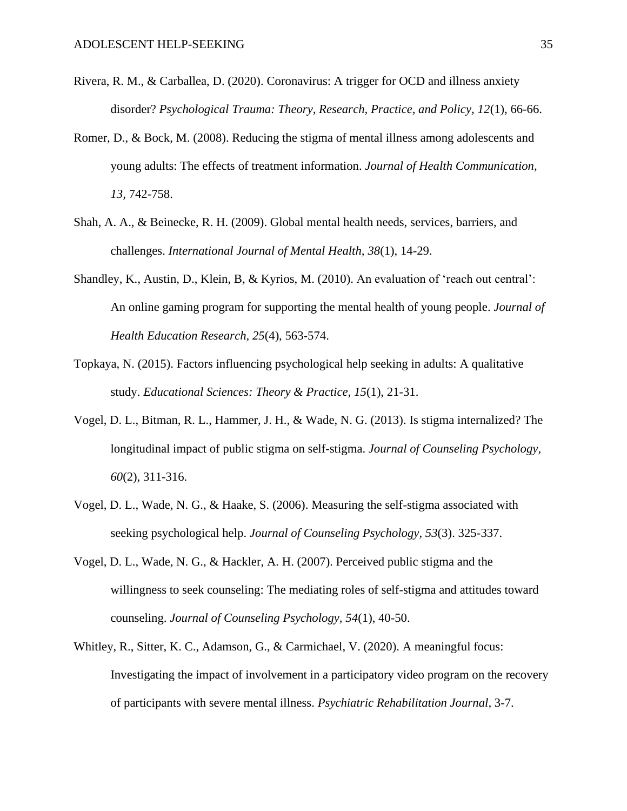- Rivera, R. M., & Carballea, D. (2020). Coronavirus: A trigger for OCD and illness anxiety disorder? *Psychological Trauma: Theory, Research, Practice, and Policy, 12*(1), 66-66.
- Romer, D., & Bock, M. (2008). Reducing the stigma of mental illness among adolescents and young adults: The effects of treatment information. *Journal of Health Communication, 13,* 742-758.
- Shah, A. A., & Beinecke, R. H. (2009). Global mental health needs, services, barriers, and challenges. *International Journal of Mental Health, 38*(1), 14-29.
- Shandley, K., Austin, D., Klein, B, & Kyrios, M. (2010). An evaluation of 'reach out central': An online gaming program for supporting the mental health of young people. *Journal of Health Education Research, 25*(4), 563-574.
- Topkaya, N. (2015). Factors influencing psychological help seeking in adults: A qualitative study. *Educational Sciences: Theory & Practice, 15*(1), 21-31.
- Vogel, D. L., Bitman, R. L., Hammer, J. H., & Wade, N. G. (2013). Is stigma internalized? The longitudinal impact of public stigma on self-stigma. *Journal of Counseling Psychology, 60*(2), 311-316.
- Vogel, D. L., Wade, N. G., & Haake, S. (2006). Measuring the self-stigma associated with seeking psychological help. *Journal of Counseling Psychology, 53*(3). 325-337.
- Vogel, D. L., Wade, N. G., & Hackler, A. H. (2007). Perceived public stigma and the willingness to seek counseling: The mediating roles of self-stigma and attitudes toward counseling. *Journal of Counseling Psychology, 54*(1), 40-50.
- Whitley, R., Sitter, K. C., Adamson, G., & Carmichael, V. (2020). A meaningful focus: Investigating the impact of involvement in a participatory video program on the recovery of participants with severe mental illness. *Psychiatric Rehabilitation Journal,* 3-7.